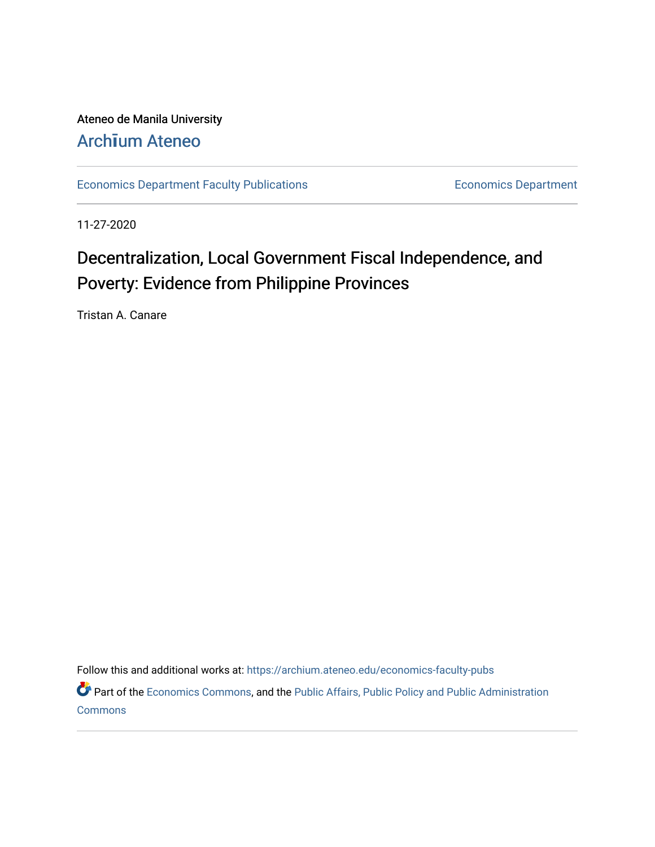Ateneo de Manila University Arch**ī**[um Ateneo](https://archium.ateneo.edu/) 

[Economics Department Faculty Publications](https://archium.ateneo.edu/economics-faculty-pubs) **Economics Department** Economics Department

11-27-2020

# Decentralization, Local Government Fiscal Independence, and Poverty: Evidence from Philippine Provinces

Tristan A. Canare

Follow this and additional works at: [https://archium.ateneo.edu/economics-faculty-pubs](https://archium.ateneo.edu/economics-faculty-pubs?utm_source=archium.ateneo.edu%2Feconomics-faculty-pubs%2F176&utm_medium=PDF&utm_campaign=PDFCoverPages)

Part of the [Economics Commons](http://network.bepress.com/hgg/discipline/340?utm_source=archium.ateneo.edu%2Feconomics-faculty-pubs%2F176&utm_medium=PDF&utm_campaign=PDFCoverPages), and the [Public Affairs, Public Policy and Public Administration](http://network.bepress.com/hgg/discipline/393?utm_source=archium.ateneo.edu%2Feconomics-faculty-pubs%2F176&utm_medium=PDF&utm_campaign=PDFCoverPages) **[Commons](http://network.bepress.com/hgg/discipline/393?utm_source=archium.ateneo.edu%2Feconomics-faculty-pubs%2F176&utm_medium=PDF&utm_campaign=PDFCoverPages)**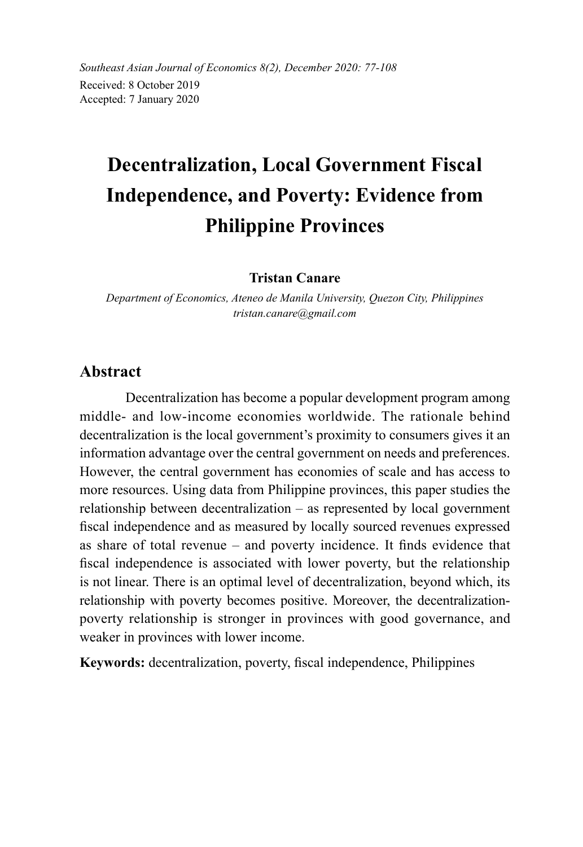*Southeast Asian Journal of Economics 8(2), December 2020: 77-108* Received: 8 October 2019 Accepted: 7 January 2020

# **Decentralization, Local Government Fiscal Independence, and Poverty: Evidence from Philippine Provinces**

#### **Tristan Canare**

*Department of Economics, Ateneo de Manila University, Quezon City, Philippines tristan.canare@gmail.com*

#### **Abstract**

Decentralization has become a popular development program among middle- and low-income economies worldwide. The rationale behind decentralization is the local government's proximity to consumers gives it an information advantage over the central government on needs and preferences. However, the central government has economies of scale and has access to more resources. Using data from Philippine provinces, this paper studies the relationship between decentralization – as represented by local government fiscal independence and as measured by locally sourced revenues expressed as share of total revenue – and poverty incidence. It finds evidence that fiscal independence is associated with lower poverty, but the relationship is not linear. There is an optimal level of decentralization, beyond which, its relationship with poverty becomes positive. Moreover, the decentralizationpoverty relationship is stronger in provinces with good governance, and weaker in provinces with lower income.

**Keywords:** decentralization, poverty, fiscal independence, Philippines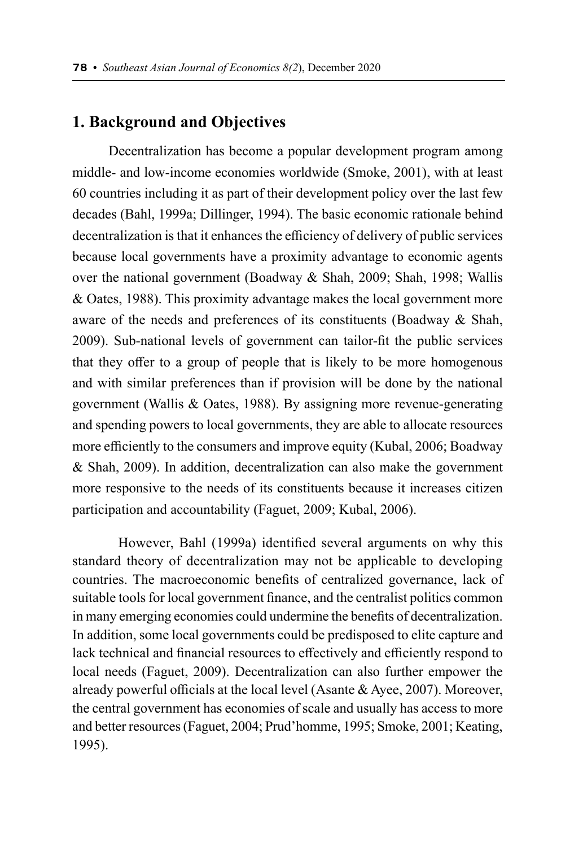## **1. Background and Objectives**

Decentralization has become a popular development program among middle- and low-income economies worldwide (Smoke, 2001), with at least 60 countries including it as part of their development policy over the last few decades (Bahl, 1999a; Dillinger, 1994). The basic economic rationale behind decentralization is that it enhances the efficiency of delivery of public services because local governments have a proximity advantage to economic agents over the national government (Boadway & Shah, 2009; Shah, 1998; Wallis & Oates, 1988). This proximity advantage makes the local government more aware of the needs and preferences of its constituents (Boadway & Shah, 2009). Sub-national levels of government can tailor-fit the public services that they offer to a group of people that is likely to be more homogenous and with similar preferences than if provision will be done by the national government (Wallis & Oates, 1988). By assigning more revenue-generating and spending powers to local governments, they are able to allocate resources more efficiently to the consumers and improve equity (Kubal, 2006; Boadway & Shah, 2009). In addition, decentralization can also make the government more responsive to the needs of its constituents because it increases citizen participation and accountability (Faguet, 2009; Kubal, 2006).

However, Bahl (1999a) identified several arguments on why this standard theory of decentralization may not be applicable to developing countries. The macroeconomic benefits of centralized governance, lack of suitable tools for local government finance, and the centralist politics common in many emerging economies could undermine the benefits of decentralization. In addition, some local governments could be predisposed to elite capture and lack technical and financial resources to effectively and efficiently respond to local needs (Faguet, 2009). Decentralization can also further empower the already powerful officials at the local level (Asante & Ayee, 2007). Moreover, the central government has economies of scale and usually has access to more and better resources (Faguet, 2004; Prud'homme, 1995; Smoke, 2001; Keating, 1995).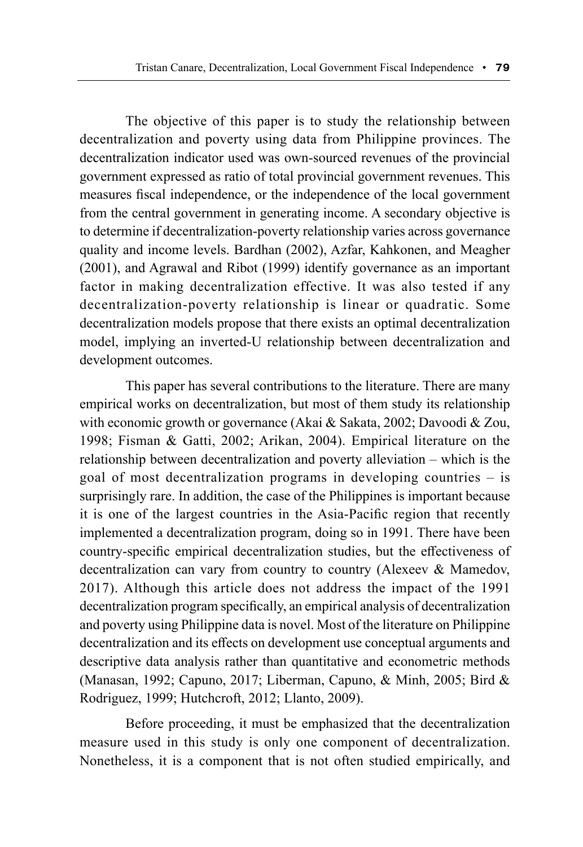The objective of this paper is to study the relationship between decentralization and poverty using data from Philippine provinces. The decentralization indicator used was own-sourced revenues of the provincial government expressed as ratio of total provincial government revenues. This measures fiscal independence, or the independence of the local government from the central government in generating income. A secondary objective is to determine if decentralization-poverty relationship varies across governance quality and income levels. Bardhan (2002), Azfar, Kahkonen, and Meagher (2001), and Agrawal and Ribot (1999) identify governance as an important factor in making decentralization effective. It was also tested if any decentralization-poverty relationship is linear or quadratic. Some decentralization models propose that there exists an optimal decentralization model, implying an inverted-U relationship between decentralization and development outcomes.

This paper has several contributions to the literature. There are many empirical works on decentralization, but most of them study its relationship with economic growth or governance (Akai & Sakata, 2002; Davoodi & Zou, 1998; Fisman & Gatti, 2002; Arikan, 2004). Empirical literature on the relationship between decentralization and poverty alleviation – which is the goal of most decentralization programs in developing countries – is surprisingly rare. In addition, the case of the Philippines is important because it is one of the largest countries in the Asia-Pacific region that recently implemented a decentralization program, doing so in 1991. There have been country-specific empirical decentralization studies, but the effectiveness of decentralization can vary from country to country (Alexeev & Mamedov, 2017). Although this article does not address the impact of the 1991 decentralization program specifically, an empirical analysis of decentralization and poverty using Philippine data is novel. Most of the literature on Philippine decentralization and its effects on development use conceptual arguments and descriptive data analysis rather than quantitative and econometric methods (Manasan, 1992; Capuno, 2017; Liberman, Capuno, & Minh, 2005; Bird & Rodriguez, 1999; Hutchcroft, 2012; Llanto, 2009).

Before proceeding, it must be emphasized that the decentralization measure used in this study is only one component of decentralization. Nonetheless, it is a component that is not often studied empirically, and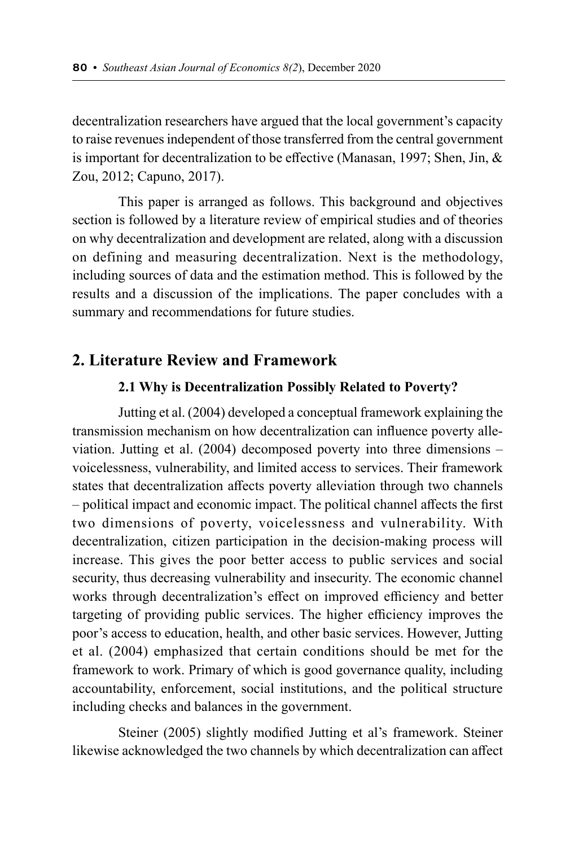decentralization researchers have argued that the local government's capacity to raise revenues independent of those transferred from the central government is important for decentralization to be effective (Manasan, 1997; Shen, Jin, & Zou, 2012; Capuno, 2017).

This paper is arranged as follows. This background and objectives section is followed by a literature review of empirical studies and of theories on why decentralization and development are related, along with a discussion on defining and measuring decentralization. Next is the methodology, including sources of data and the estimation method. This is followed by the results and a discussion of the implications. The paper concludes with a summary and recommendations for future studies.

## **2. Literature Review and Framework**

#### **2.1 Why is Decentralization Possibly Related to Poverty?**

Jutting et al. (2004) developed a conceptual framework explaining the transmission mechanism on how decentralization can influence poverty alleviation. Jutting et al. (2004) decomposed poverty into three dimensions – voicelessness, vulnerability, and limited access to services. Their framework states that decentralization affects poverty alleviation through two channels – political impact and economic impact. The political channel affects the first two dimensions of poverty, voicelessness and vulnerability. With decentralization, citizen participation in the decision-making process will increase. This gives the poor better access to public services and social security, thus decreasing vulnerability and insecurity. The economic channel works through decentralization's effect on improved efficiency and better targeting of providing public services. The higher efficiency improves the poor's access to education, health, and other basic services. However, Jutting et al. (2004) emphasized that certain conditions should be met for the framework to work. Primary of which is good governance quality, including accountability, enforcement, social institutions, and the political structure including checks and balances in the government.

Steiner (2005) slightly modified Jutting et al's framework. Steiner likewise acknowledged the two channels by which decentralization can affect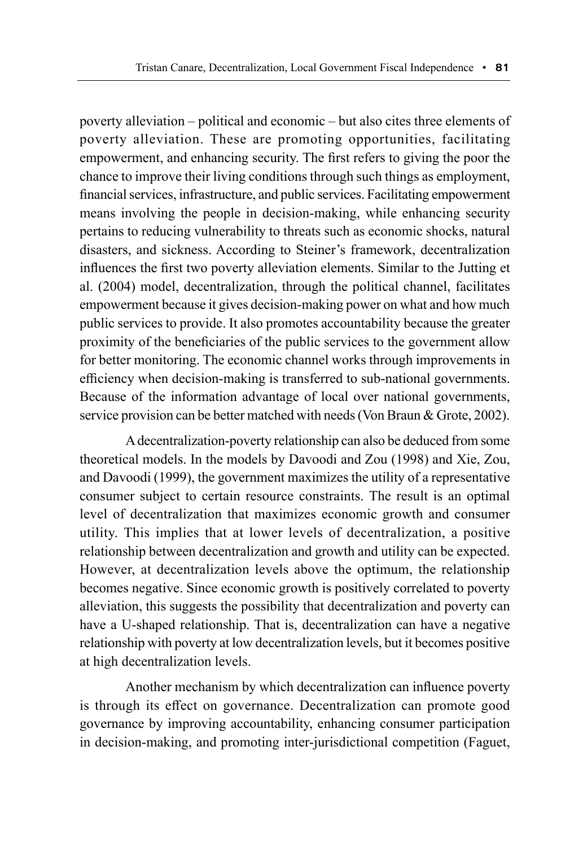poverty alleviation – political and economic – but also cites three elements of poverty alleviation. These are promoting opportunities, facilitating empowerment, and enhancing security. The first refers to giving the poor the chance to improve their living conditions through such things as employment, financial services, infrastructure, and public services. Facilitating empowerment means involving the people in decision-making, while enhancing security pertains to reducing vulnerability to threats such as economic shocks, natural disasters, and sickness. According to Steiner's framework, decentralization influences the first two poverty alleviation elements. Similar to the Jutting et al. (2004) model, decentralization, through the political channel, facilitates empowerment because it gives decision-making power on what and how much public services to provide. It also promotes accountability because the greater proximity of the beneficiaries of the public services to the government allow for better monitoring. The economic channel works through improvements in efficiency when decision-making is transferred to sub-national governments. Because of the information advantage of local over national governments, service provision can be better matched with needs (Von Braun & Grote, 2002).

A decentralization-poverty relationship can also be deduced from some theoretical models. In the models by Davoodi and Zou (1998) and Xie, Zou, and Davoodi (1999), the government maximizes the utility of a representative consumer subject to certain resource constraints. The result is an optimal level of decentralization that maximizes economic growth and consumer utility. This implies that at lower levels of decentralization, a positive relationship between decentralization and growth and utility can be expected. However, at decentralization levels above the optimum, the relationship becomes negative. Since economic growth is positively correlated to poverty alleviation, this suggests the possibility that decentralization and poverty can have a U-shaped relationship. That is, decentralization can have a negative relationship with poverty at low decentralization levels, but it becomes positive at high decentralization levels.

Another mechanism by which decentralization can influence poverty is through its effect on governance. Decentralization can promote good governance by improving accountability, enhancing consumer participation in decision-making, and promoting inter-jurisdictional competition (Faguet,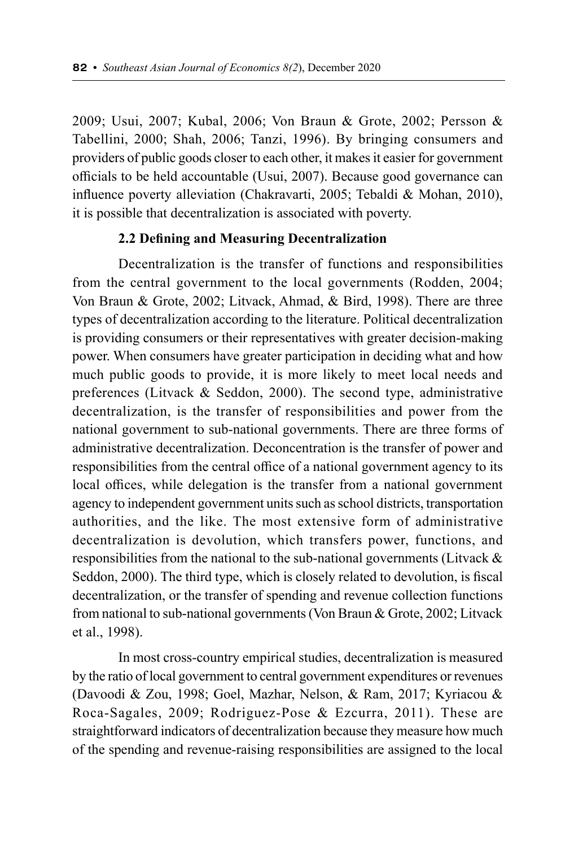2009; Usui, 2007; Kubal, 2006; Von Braun & Grote, 2002; Persson & Tabellini, 2000; Shah, 2006; Tanzi, 1996). By bringing consumers and providers of public goods closer to each other, it makes it easier for government officials to be held accountable (Usui, 2007). Because good governance can influence poverty alleviation (Chakravarti, 2005; Tebaldi & Mohan, 2010), it is possible that decentralization is associated with poverty.

#### **2.2 Defining and Measuring Decentralization**

Decentralization is the transfer of functions and responsibilities from the central government to the local governments (Rodden, 2004; Von Braun & Grote, 2002; Litvack, Ahmad, & Bird, 1998). There are three types of decentralization according to the literature. Political decentralization is providing consumers or their representatives with greater decision-making power. When consumers have greater participation in deciding what and how much public goods to provide, it is more likely to meet local needs and preferences (Litvack & Seddon, 2000). The second type, administrative decentralization, is the transfer of responsibilities and power from the national government to sub-national governments. There are three forms of administrative decentralization. Deconcentration is the transfer of power and responsibilities from the central office of a national government agency to its local offices, while delegation is the transfer from a national government agency to independent government units such as school districts, transportation authorities, and the like. The most extensive form of administrative decentralization is devolution, which transfers power, functions, and responsibilities from the national to the sub-national governments (Litvack & Seddon, 2000). The third type, which is closely related to devolution, is fiscal decentralization, or the transfer of spending and revenue collection functions from national to sub-national governments (Von Braun & Grote, 2002; Litvack et al., 1998).

In most cross-country empirical studies, decentralization is measured by the ratio of local government to central government expenditures or revenues (Davoodi & Zou, 1998; Goel, Mazhar, Nelson, & Ram, 2017; Kyriacou & Roca-Sagales, 2009; Rodriguez-Pose & Ezcurra, 2011). These are straightforward indicators of decentralization because they measure how much of the spending and revenue-raising responsibilities are assigned to the local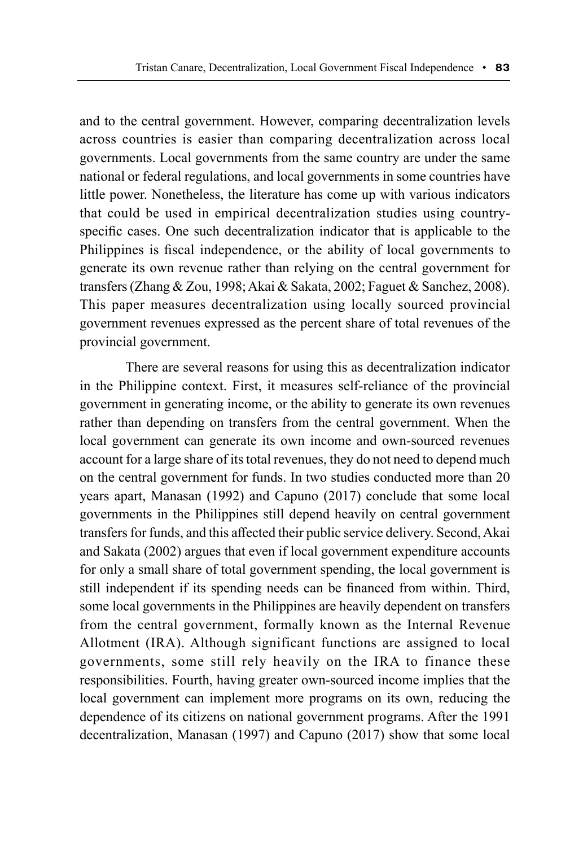and to the central government. However, comparing decentralization levels across countries is easier than comparing decentralization across local governments. Local governments from the same country are under the same national or federal regulations, and local governments in some countries have little power. Nonetheless, the literature has come up with various indicators that could be used in empirical decentralization studies using countryspecific cases. One such decentralization indicator that is applicable to the Philippines is fiscal independence, or the ability of local governments to generate its own revenue rather than relying on the central government for transfers (Zhang & Zou, 1998; Akai & Sakata, 2002; Faguet & Sanchez, 2008). This paper measures decentralization using locally sourced provincial government revenues expressed as the percent share of total revenues of the provincial government.

There are several reasons for using this as decentralization indicator in the Philippine context. First, it measures self-reliance of the provincial government in generating income, or the ability to generate its own revenues rather than depending on transfers from the central government. When the local government can generate its own income and own-sourced revenues account for a large share of its total revenues, they do not need to depend much on the central government for funds. In two studies conducted more than 20 years apart, Manasan (1992) and Capuno (2017) conclude that some local governments in the Philippines still depend heavily on central government transfers for funds, and this affected their public service delivery. Second, Akai and Sakata (2002) argues that even if local government expenditure accounts for only a small share of total government spending, the local government is still independent if its spending needs can be financed from within. Third, some local governments in the Philippines are heavily dependent on transfers from the central government, formally known as the Internal Revenue Allotment (IRA). Although significant functions are assigned to local governments, some still rely heavily on the IRA to finance these responsibilities. Fourth, having greater own-sourced income implies that the local government can implement more programs on its own, reducing the dependence of its citizens on national government programs. After the 1991 decentralization, Manasan (1997) and Capuno (2017) show that some local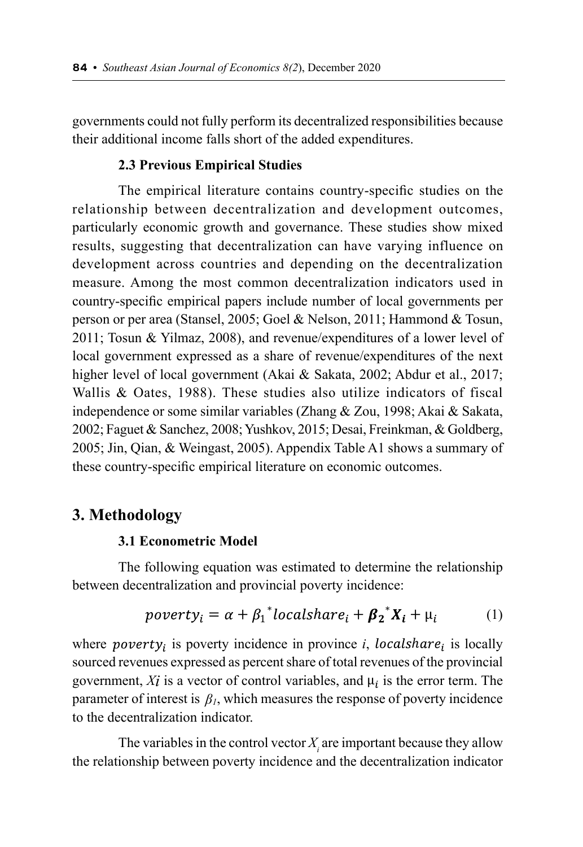governments could not fully perform its decentralized responsibilities because their additional income falls short of the added expenditures.

#### **2.3 Previous Empirical Studies**

The empirical literature contains country-specific studies on the relationship between decentralization and development outcomes, particularly economic growth and governance. These studies show mixed results, suggesting that decentralization can have varying influence on development across countries and depending on the decentralization measure. Among the most common decentralization indicators used in country-specific empirical papers include number of local governments per person or per area (Stansel, 2005; Goel & Nelson, 2011; Hammond & Tosun, 2011; Tosun & Yilmaz, 2008), and revenue/expenditures of a lower level of local government expressed as a share of revenue/expenditures of the next higher level of local government (Akai & Sakata, 2002; Abdur et al., 2017; Wallis & Oates, 1988). These studies also utilize indicators of fiscal independence or some similar variables (Zhang & Zou, 1998; Akai & Sakata, 2002; Faguet & Sanchez, 2008; Yushkov, 2015; Desai, Freinkman, & Goldberg, 2005; Jin, Qian, & Weingast, 2005). Appendix Table A1 shows a summary of these country-specific empirical literature on economic outcomes.

# **3. Methodology**

#### **3.1 Econometric Model**

The following equation was estimated to determine the relationship between decentralization and provincial poverty incidence:

$$
powerty_i = \alpha + \beta_1^*localhost_i + \beta_2^*X_i + \mu_i \tag{1}
$$

where  $powery_i$  is poverty incidence in province *i*,  $localhosta_i$  is locally sourced revenues expressed as percent share of total revenues of the provincial government,  $Xi$  is a vector of control variables, and  $\mu_i$  is the error term. The parameter of interest is  $\beta_l$ , which measures the response of poverty incidence to the decentralization indicator.

The variables in the control vector  $X_i$  are important because they allow the relationship between poverty incidence and the decentralization indicator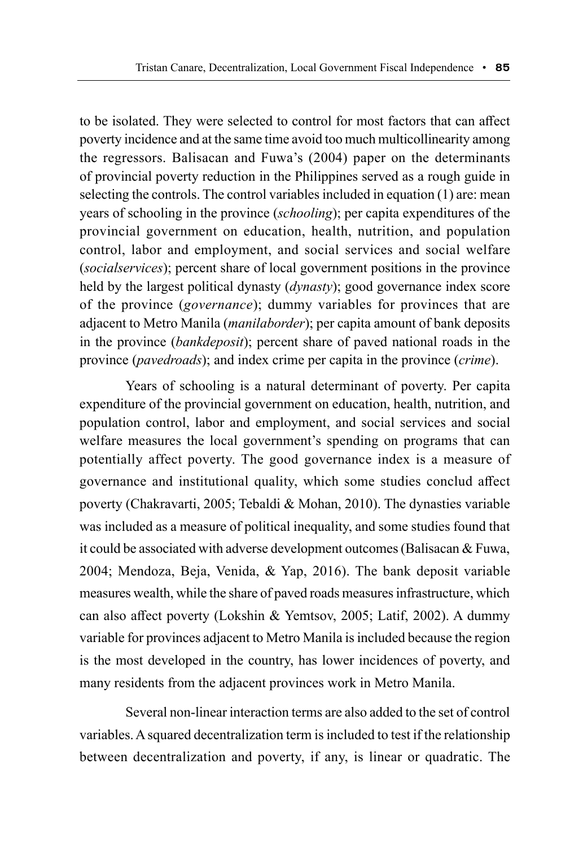to be isolated. They were selected to control for most factors that can affect poverty incidence and at the same time avoid too much multicollinearity among the regressors. Balisacan and Fuwa's (2004) paper on the determinants of provincial poverty reduction in the Philippines served as a rough guide in selecting the controls. The control variables included in equation (1) are: mean years of schooling in the province (*schooling*); per capita expenditures of the provincial government on education, health, nutrition, and population control, labor and employment, and social services and social welfare (*socialservices*); percent share of local government positions in the province held by the largest political dynasty (*dynasty*); good governance index score of the province (*governance*); dummy variables for provinces that are adjacent to Metro Manila (*manilaborder*); per capita amount of bank deposits in the province (*bankdeposit*); percent share of paved national roads in the province (*pavedroads*); and index crime per capita in the province (*crime*).

Years of schooling is a natural determinant of poverty. Per capita expenditure of the provincial government on education, health, nutrition, and population control, labor and employment, and social services and social welfare measures the local government's spending on programs that can potentially affect poverty. The good governance index is a measure of governance and institutional quality, which some studies conclud affect poverty (Chakravarti, 2005; Tebaldi & Mohan, 2010). The dynasties variable was included as a measure of political inequality, and some studies found that it could be associated with adverse development outcomes (Balisacan & Fuwa, 2004; Mendoza, Beja, Venida, & Yap, 2016). The bank deposit variable measures wealth, while the share of paved roads measures infrastructure, which can also affect poverty (Lokshin & Yemtsov, 2005; Latif, 2002). A dummy variable for provinces adjacent to Metro Manila is included because the region is the most developed in the country, has lower incidences of poverty, and many residents from the adjacent provinces work in Metro Manila.

Several non-linear interaction terms are also added to the set of control variables. A squared decentralization term is included to test if the relationship between decentralization and poverty, if any, is linear or quadratic. The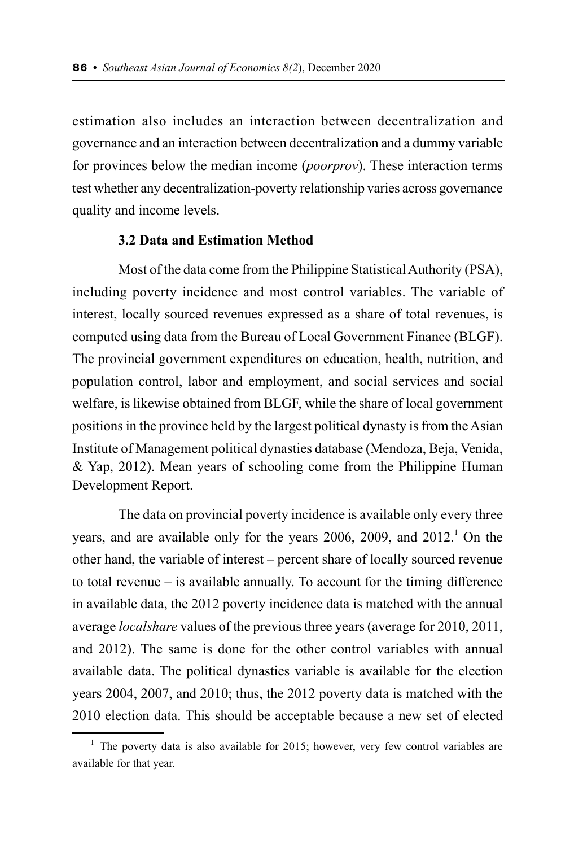estimation also includes an interaction between decentralization and governance and an interaction between decentralization and a dummy variable for provinces below the median income (*poorprov*). These interaction terms test whether any decentralization-poverty relationship varies across governance quality and income levels.

#### **3.2 Data and Estimation Method**

Most of the data come from the Philippine Statistical Authority (PSA), including poverty incidence and most control variables. The variable of interest, locally sourced revenues expressed as a share of total revenues, is computed using data from the Bureau of Local Government Finance (BLGF). The provincial government expenditures on education, health, nutrition, and population control, labor and employment, and social services and social welfare, is likewise obtained from BLGF, while the share of local government positions in the province held by the largest political dynasty is from the Asian Institute of Management political dynasties database (Mendoza, Beja, Venida, & Yap, 2012). Mean years of schooling come from the Philippine Human Development Report.

The data on provincial poverty incidence is available only every three years, and are available only for the years 2006, 2009, and 2012.<sup>1</sup> On the other hand, the variable of interest – percent share of locally sourced revenue to total revenue – is available annually. To account for the timing difference in available data, the 2012 poverty incidence data is matched with the annual average *localshare* values of the previous three years (average for 2010, 2011, and 2012). The same is done for the other control variables with annual available data. The political dynasties variable is available for the election years 2004, 2007, and 2010; thus, the 2012 poverty data is matched with the 2010 election data. This should be acceptable because a new set of elected

 $1$  The poverty data is also available for 2015; however, very few control variables are available for that year.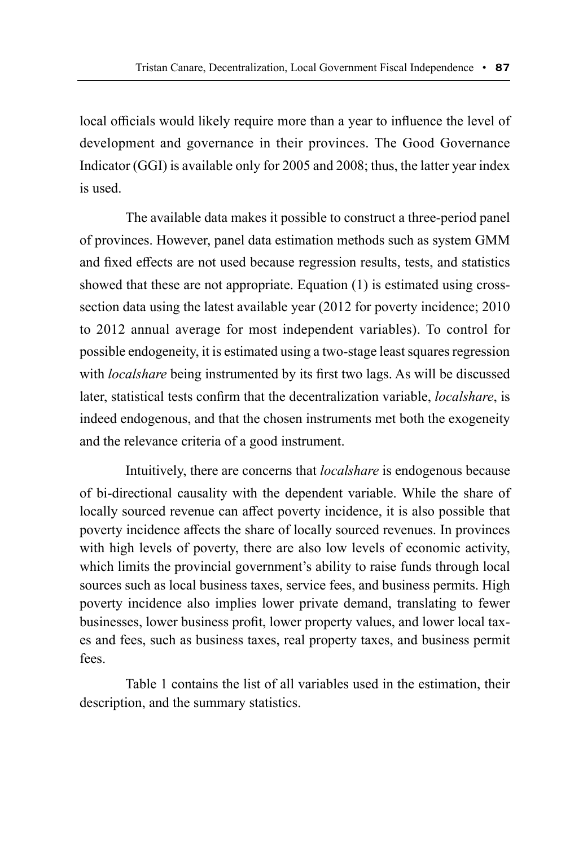local officials would likely require more than a year to influence the level of development and governance in their provinces. The Good Governance Indicator (GGI) is available only for 2005 and 2008; thus, the latter year index is used.

The available data makes it possible to construct a three-period panel of provinces. However, panel data estimation methods such as system GMM and fixed effects are not used because regression results, tests, and statistics showed that these are not appropriate. Equation (1) is estimated using crosssection data using the latest available year (2012 for poverty incidence; 2010 to 2012 annual average for most independent variables). To control for possible endogeneity, it is estimated using a two-stage least squares regression with *localshare* being instrumented by its first two lags. As will be discussed later, statistical tests confirm that the decentralization variable, *localshare*, is indeed endogenous, and that the chosen instruments met both the exogeneity and the relevance criteria of a good instrument.

Intuitively, there are concerns that *localshare* is endogenous because of bi-directional causality with the dependent variable. While the share of locally sourced revenue can affect poverty incidence, it is also possible that poverty incidence affects the share of locally sourced revenues. In provinces with high levels of poverty, there are also low levels of economic activity, which limits the provincial government's ability to raise funds through local sources such as local business taxes, service fees, and business permits. High poverty incidence also implies lower private demand, translating to fewer businesses, lower business profit, lower property values, and lower local taxes and fees, such as business taxes, real property taxes, and business permit fees.

Table 1 contains the list of all variables used in the estimation, their description, and the summary statistics.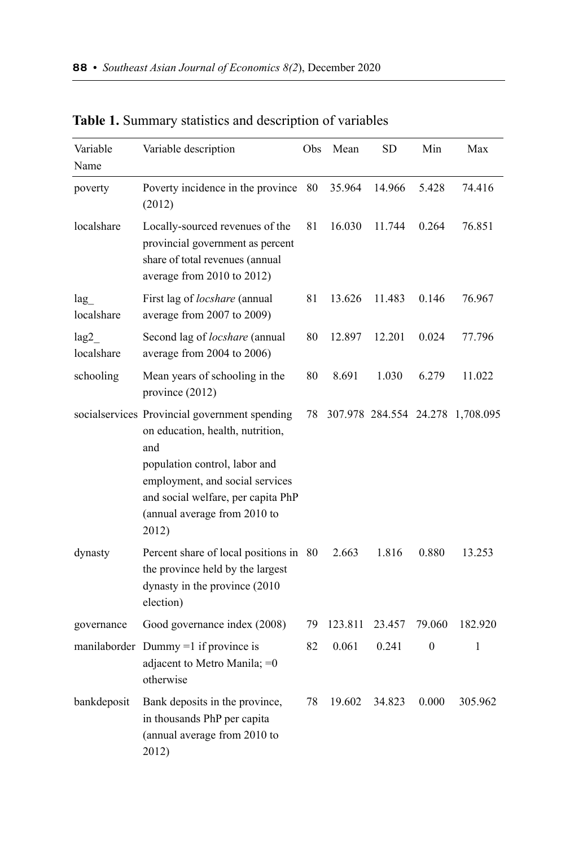| Variable<br>Name   | Variable description                                                                                                                                                                                                                        | Obs | Mean    | SD                     | Min      | Max       |
|--------------------|---------------------------------------------------------------------------------------------------------------------------------------------------------------------------------------------------------------------------------------------|-----|---------|------------------------|----------|-----------|
| poverty            | Poverty incidence in the province<br>(2012)                                                                                                                                                                                                 | 80  | 35.964  | 14.966                 | 5.428    | 74.416    |
| localshare         | Locally-sourced revenues of the<br>provincial government as percent<br>share of total revenues (annual<br>average from 2010 to 2012)                                                                                                        | 81  | 16.030  | 11.744                 | 0.264    | 76.851    |
| lag<br>localshare  | First lag of <i>locshare</i> (annual<br>average from 2007 to 2009)                                                                                                                                                                          | 81  | 13.626  | 11.483                 | 0.146    | 76.967    |
| lag2<br>localshare | Second lag of locshare (annual<br>average from 2004 to 2006)                                                                                                                                                                                | 80  | 12.897  | 12.201                 | 0.024    | 77.796    |
| schooling          | Mean years of schooling in the<br>province (2012)                                                                                                                                                                                           | 80  | 8.691   | 1.030                  | 6.279    | 11.022    |
|                    | socialservices Provincial government spending<br>on education, health, nutrition,<br>and<br>population control, labor and<br>employment, and social services<br>and social welfare, per capita PhP<br>(annual average from 2010 to<br>2012) | 78  |         | 307.978 284.554 24.278 |          | 1,708.095 |
| dynasty            | Percent share of local positions in 80<br>the province held by the largest<br>dynasty in the province (2010<br>election)                                                                                                                    |     | 2.663   | 1.816                  | 0.880    | 13.253    |
| governance         | Good governance index (2008)                                                                                                                                                                                                                | 79  | 123.811 | 23.457                 | 79.060   | 182.920   |
|                    | manilaborder Dummy =1 if province is<br>adjacent to Metro Manila; = 0<br>otherwise                                                                                                                                                          | 82  | 0.061   | 0.241                  | $\theta$ | 1         |
| bankdeposit        | Bank deposits in the province,<br>in thousands PhP per capita<br>(annual average from 2010 to<br>2012)                                                                                                                                      | 78  | 19.602  | 34.823                 | 0.000    | 305.962   |

**Table 1.** Summary statistics and description of variables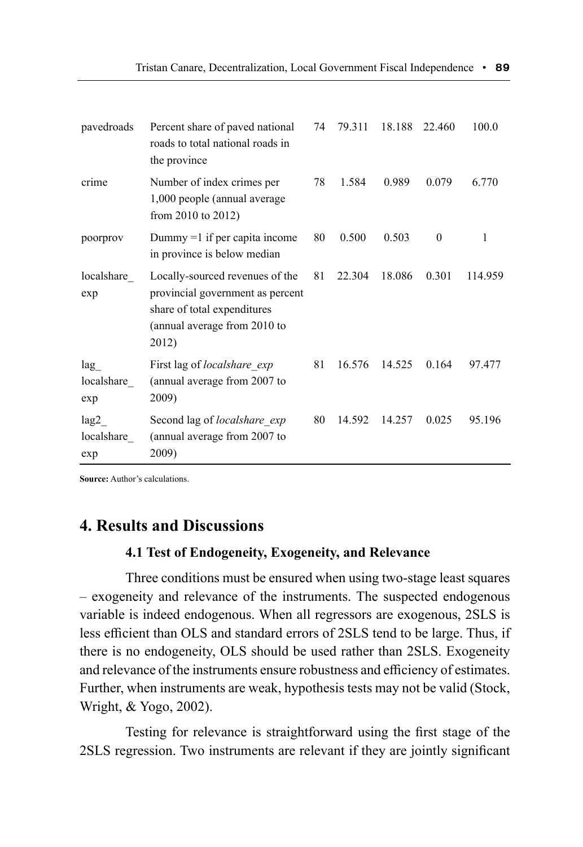| pavedroads                | Percent share of paved national<br>roads to total national roads in<br>the province                                                         | 74 | 79.311 | 18.188 | 22.460   | 100.0   |
|---------------------------|---------------------------------------------------------------------------------------------------------------------------------------------|----|--------|--------|----------|---------|
| crime                     | Number of index crimes per<br>1,000 people (annual average<br>from 2010 to $2012$ )                                                         | 78 | 1.584  | 0.989  | 0.079    | 6.770   |
| poorprov                  | Dummy $=1$ if per capita income<br>in province is below median                                                                              | 80 | 0.500  | 0.503  | $\theta$ | 1       |
| localshare<br>exp         | Locally-sourced revenues of the<br>provincial government as percent<br>share of total expenditures<br>(annual average from 2010 to<br>2012) | 81 | 22.304 | 18.086 | 0.301    | 114.959 |
| lag<br>localshare<br>exp  | First lag of <i>localshare exp</i><br>(annual average from 2007 to<br>2009)                                                                 | 81 | 16.576 | 14.525 | 0.164    | 97.477  |
| lag2<br>localshare<br>exp | Second lag of localshare exp<br>(annual average from 2007 to<br>2009)                                                                       | 80 | 14.592 | 14.257 | 0.025    | 95.196  |

**Source:** Author's calculations.

# **4. Results and Discussions**

#### **4.1 Test of Endogeneity, Exogeneity, and Relevance**

Three conditions must be ensured when using two-stage least squares – exogeneity and relevance of the instruments. The suspected endogenous variable is indeed endogenous. When all regressors are exogenous, 2SLS is less efficient than OLS and standard errors of 2SLS tend to be large. Thus, if there is no endogeneity, OLS should be used rather than 2SLS. Exogeneity and relevance of the instruments ensure robustness and efficiency of estimates. Further, when instruments are weak, hypothesis tests may not be valid (Stock, Wright, & Yogo, 2002).

Testing for relevance is straightforward using the first stage of the 2SLS regression. Two instruments are relevant if they are jointly significant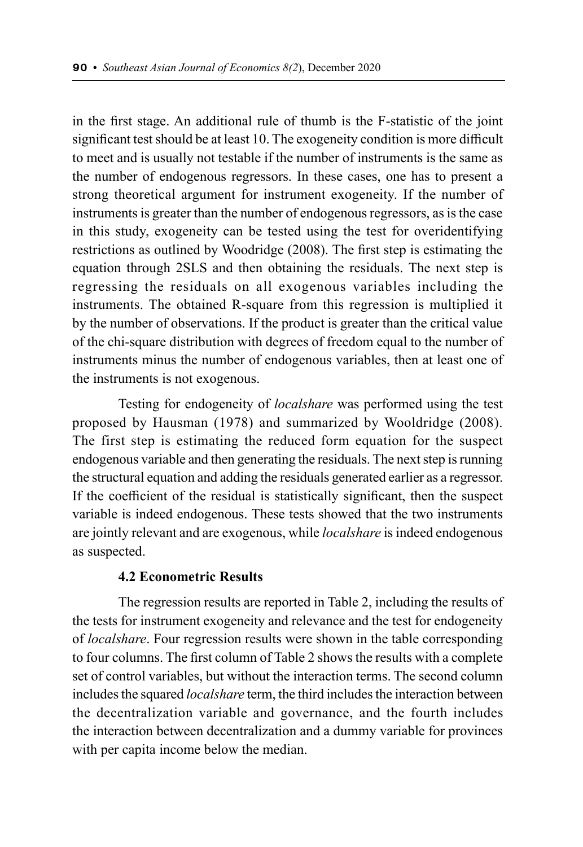in the first stage. An additional rule of thumb is the F-statistic of the joint significant test should be at least 10. The exogeneity condition is more difficult to meet and is usually not testable if the number of instruments is the same as the number of endogenous regressors. In these cases, one has to present a strong theoretical argument for instrument exogeneity. If the number of instruments is greater than the number of endogenous regressors, as is the case in this study, exogeneity can be tested using the test for overidentifying restrictions as outlined by Woodridge (2008). The first step is estimating the equation through 2SLS and then obtaining the residuals. The next step is regressing the residuals on all exogenous variables including the instruments. The obtained R-square from this regression is multiplied it by the number of observations. If the product is greater than the critical value of the chi-square distribution with degrees of freedom equal to the number of instruments minus the number of endogenous variables, then at least one of the instruments is not exogenous.

Testing for endogeneity of *localshare* was performed using the test proposed by Hausman (1978) and summarized by Wooldridge (2008). The first step is estimating the reduced form equation for the suspect endogenous variable and then generating the residuals. The next step is running the structural equation and adding the residuals generated earlier as a regressor. If the coefficient of the residual is statistically significant, then the suspect variable is indeed endogenous. These tests showed that the two instruments are jointly relevant and are exogenous, while *localshare* is indeed endogenous as suspected.

#### **4.2 Econometric Results**

The regression results are reported in Table 2, including the results of the tests for instrument exogeneity and relevance and the test for endogeneity of *localshare*. Four regression results were shown in the table corresponding to four columns. The first column of Table 2 shows the results with a complete set of control variables, but without the interaction terms. The second column includes the squared *localshare* term, the third includes the interaction between the decentralization variable and governance, and the fourth includes the interaction between decentralization and a dummy variable for provinces with per capita income below the median.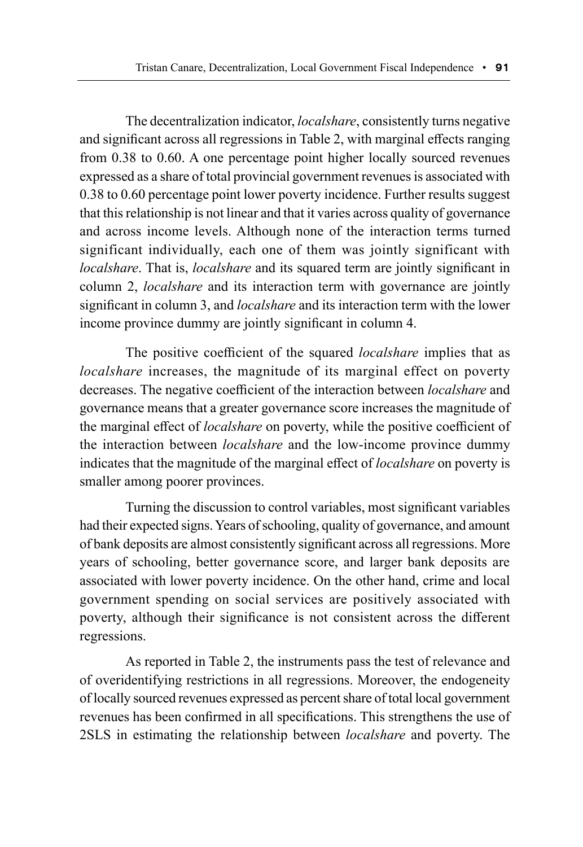The decentralization indicator, *localshare*, consistently turns negative and significant across all regressions in Table 2, with marginal effects ranging from 0.38 to 0.60. A one percentage point higher locally sourced revenues expressed as a share of total provincial government revenues is associated with 0.38 to 0.60 percentage point lower poverty incidence. Further results suggest that this relationship is not linear and that it varies across quality of governance and across income levels. Although none of the interaction terms turned significant individually, each one of them was jointly significant with *localshare*. That is, *localshare* and its squared term are jointly significant in column 2, *localshare* and its interaction term with governance are jointly significant in column 3, and *localshare* and its interaction term with the lower income province dummy are jointly significant in column 4.

The positive coefficient of the squared *localshare* implies that as *localshare* increases, the magnitude of its marginal effect on poverty decreases. The negative coefficient of the interaction between *localshare* and governance means that a greater governance score increases the magnitude of the marginal effect of *localshare* on poverty, while the positive coefficient of the interaction between *localshare* and the low-income province dummy indicates that the magnitude of the marginal effect of *localshare* on poverty is smaller among poorer provinces.

Turning the discussion to control variables, most significant variables had their expected signs. Years of schooling, quality of governance, and amount of bank deposits are almost consistently significant across all regressions. More years of schooling, better governance score, and larger bank deposits are associated with lower poverty incidence. On the other hand, crime and local government spending on social services are positively associated with poverty, although their significance is not consistent across the different regressions.

As reported in Table 2, the instruments pass the test of relevance and of overidentifying restrictions in all regressions. Moreover, the endogeneity of locally sourced revenues expressed as percent share of total local government revenues has been confirmed in all specifications. This strengthens the use of 2SLS in estimating the relationship between *localshare* and poverty. The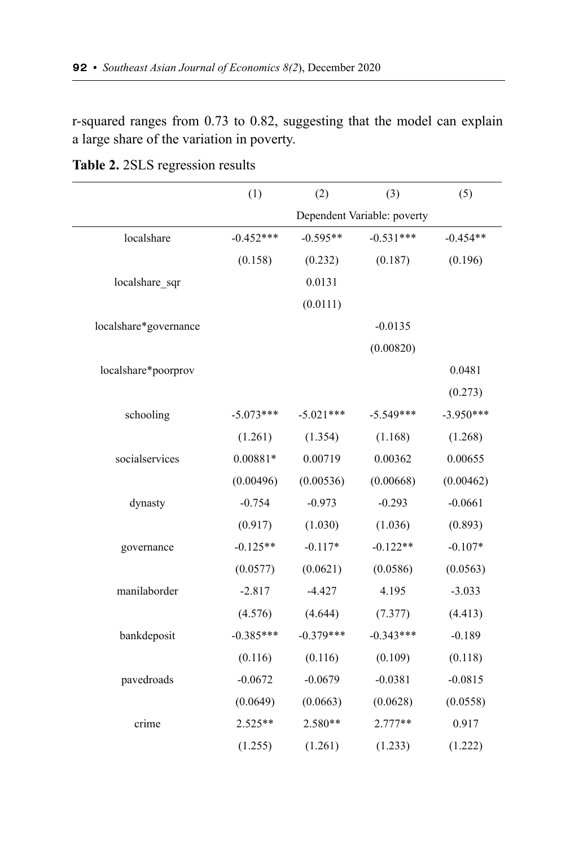r-squared ranges from 0.73 to 0.82, suggesting that the model can explain a large share of the variation in poverty.

|                       | (1)         | (2)         | (3)                         | (5)         |
|-----------------------|-------------|-------------|-----------------------------|-------------|
|                       |             |             | Dependent Variable: poverty |             |
| localshare            | $-0.452***$ | $-0.595**$  | $-0.531***$                 | $-0.454**$  |
|                       | (0.158)     | (0.232)     | (0.187)                     | (0.196)     |
| localshare_sqr        |             | 0.0131      |                             |             |
|                       |             | (0.0111)    |                             |             |
| localshare*governance |             |             | $-0.0135$                   |             |
|                       |             |             | (0.00820)                   |             |
| localshare*poorprov   |             |             |                             | 0.0481      |
|                       |             |             |                             | (0.273)     |
| schooling             | $-5.073***$ | $-5.021***$ | $-5.549***$                 | $-3.950***$ |
|                       | (1.261)     | (1.354)     | (1.168)                     | (1.268)     |
| socialservices        | $0.00881*$  | 0.00719     | 0.00362                     | 0.00655     |
|                       | (0.00496)   | (0.00536)   | (0.00668)                   | (0.00462)   |
| dynasty               | $-0.754$    | $-0.973$    | $-0.293$                    | $-0.0661$   |
|                       | (0.917)     | (1.030)     | (1.036)                     | (0.893)     |
| governance            | $-0.125**$  | $-0.117*$   | $-0.122**$                  | $-0.107*$   |
|                       | (0.0577)    | (0.0621)    | (0.0586)                    | (0.0563)    |
| manilaborder          | $-2.817$    | $-4.427$    | 4.195                       | $-3.033$    |
|                       | (4.576)     | (4.644)     | (7.377)                     | (4.413)     |
| bankdeposit           | $-0.385***$ | $-0.379***$ | $-0.343***$                 | $-0.189$    |
|                       | (0.116)     | (0.116)     | (0.109)                     | (0.118)     |
| pavedroads            | $-0.0672$   | $-0.0679$   | $-0.0381$                   | $-0.0815$   |
|                       | (0.0649)    | (0.0663)    | (0.0628)                    | (0.0558)    |
| crime                 | $2.525**$   | 2.580**     | $2.777**$                   | 0.917       |
|                       | (1.255)     | (1.261)     | (1.233)                     | (1.222)     |

**Table 2.** 2SLS regression results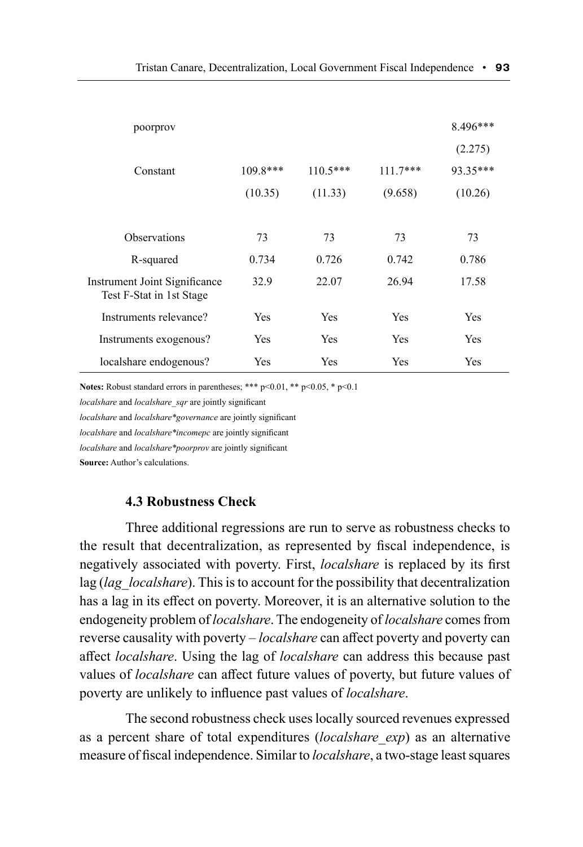| poorprov                                                  |            |            |            | 8.496*** |
|-----------------------------------------------------------|------------|------------|------------|----------|
|                                                           |            |            |            | (2.275)  |
| Constant                                                  | $109.8***$ | $110.5***$ | $111.7***$ | 93.35*** |
|                                                           | (10.35)    | (11.33)    | (9.658)    | (10.26)  |
|                                                           |            |            |            |          |
| <b>Observations</b>                                       | 73         | 73         | 73         | 73       |
| R-squared                                                 | 0.734      | 0.726      | 0.742      | 0.786    |
| Instrument Joint Significance<br>Test F-Stat in 1st Stage | 32.9       | 22.07      | 26.94      | 17.58    |
| Instruments relevance?                                    | Yes        | <b>Yes</b> | Yes        | Yes      |
| Instruments exogenous?                                    | Yes        | <b>Yes</b> | Yes        | Yes      |
| localshare endogenous?                                    | Yes        | Yes        | Yes        | Yes      |

**Notes:** Robust standard errors in parentheses; \*\*\* p<0.01, \*\* p<0.05, \* p<0.1

*localshare* and *localshare\_sqr* are jointly significant

*localshare* and *localshare\*governance* are jointly significant

*localshare* and *localshare\*incomepc* are jointly significant

*localshare* and *localshare\*poorprov* are jointly significant

**Source:** Author's calculations.

#### **4.3 Robustness Check**

Three additional regressions are run to serve as robustness checks to the result that decentralization, as represented by fiscal independence, is negatively associated with poverty. First, *localshare* is replaced by its first lag (*lag\_localshare*). This is to account for the possibility that decentralization has a lag in its effect on poverty. Moreover, it is an alternative solution to the endogeneity problem of *localshare*. The endogeneity of *localshare* comes from reverse causality with poverty – *localshare* can affect poverty and poverty can affect *localshare*. Using the lag of *localshare* can address this because past values of *localshare* can affect future values of poverty, but future values of poverty are unlikely to influence past values of *localshare*.

The second robustness check uses locally sourced revenues expressed as a percent share of total expenditures (*localshare\_exp*) as an alternative measure of fiscal independence. Similar to *localshare*, a two-stage least squares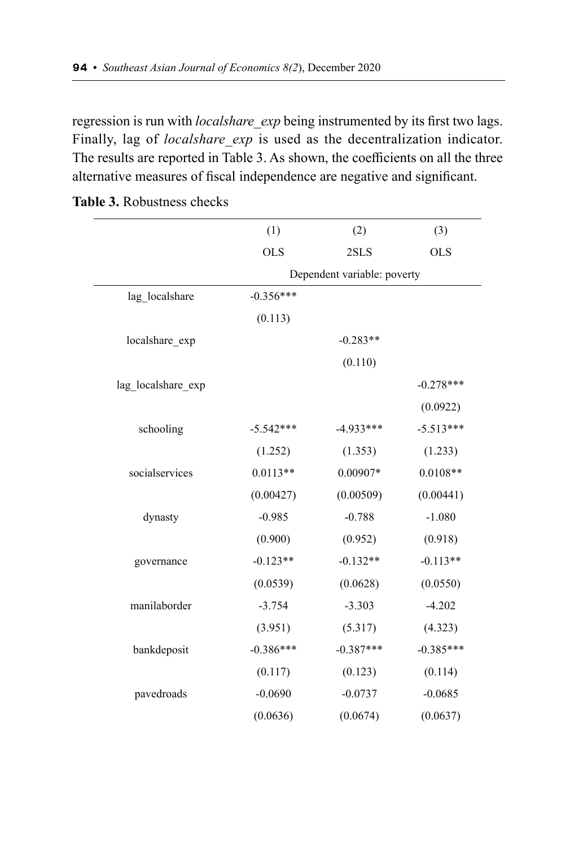regression is run with *localshare exp* being instrumented by its first two lags. Finally, lag of *localshare exp* is used as the decentralization indicator. The results are reported in Table 3. As shown, the coefficients on all the three alternative measures of fiscal independence are negative and significant.

|                    | (1)         | (2)                         | (3)         |
|--------------------|-------------|-----------------------------|-------------|
|                    | <b>OLS</b>  | 2SLS                        | <b>OLS</b>  |
|                    |             | Dependent variable: poverty |             |
| lag localshare     | $-0.356***$ |                             |             |
|                    | (0.113)     |                             |             |
| localshare_exp     |             | $-0.283**$                  |             |
|                    |             | (0.110)                     |             |
| lag_localshare_exp |             |                             | $-0.278***$ |
|                    |             |                             | (0.0922)    |
| schooling          | $-5.542***$ | $-4.933***$                 | $-5.513***$ |
|                    | (1.252)     | (1.353)                     | (1.233)     |
| socialservices     | $0.0113**$  | 0.00907*                    | $0.0108**$  |
|                    | (0.00427)   | (0.00509)                   | (0.00441)   |
| dynasty            | $-0.985$    | $-0.788$                    | $-1.080$    |
|                    | (0.900)     | (0.952)                     | (0.918)     |
| governance         | $-0.123**$  | $-0.132**$                  | $-0.113**$  |
|                    | (0.0539)    | (0.0628)                    | (0.0550)    |
| manilaborder       | $-3.754$    | $-3.303$                    | $-4.202$    |
|                    | (3.951)     | (5.317)                     | (4.323)     |
| bankdeposit        | $-0.386***$ | $-0.387***$                 | $-0.385***$ |
|                    | (0.117)     | (0.123)                     | (0.114)     |
| pavedroads         | $-0.0690$   | $-0.0737$                   | $-0.0685$   |
|                    | (0.0636)    | (0.0674)                    | (0.0637)    |

**Table 3.** Robustness checks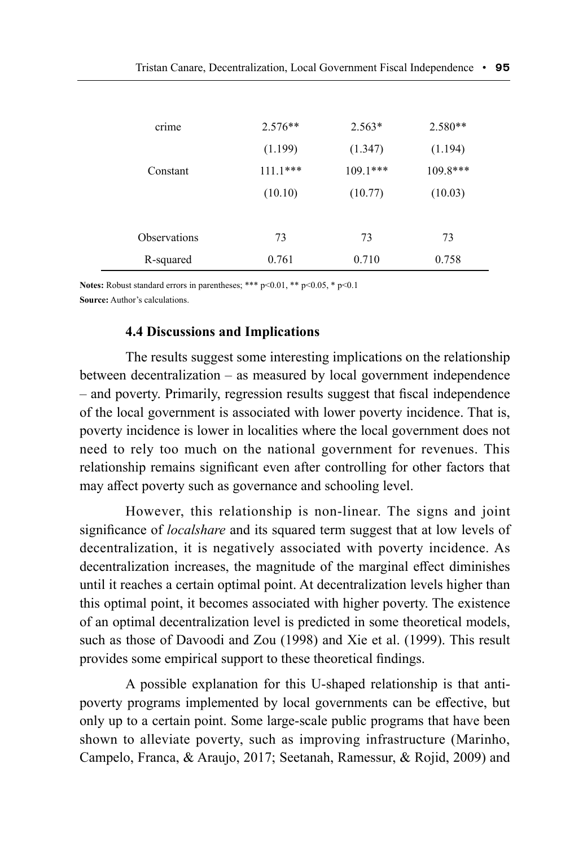| crime               | $2.576**$  | $2.563*$   | $2.580**$  |
|---------------------|------------|------------|------------|
|                     | (1.199)    | (1.347)    | (1.194)    |
| Constant            | $111.1***$ | $109.1***$ | $109.8***$ |
|                     | (10.10)    | (10.77)    | (10.03)    |
|                     |            |            |            |
| <b>Observations</b> | 73         | 73         | 73         |
| R-squared           | 0.761      | 0.710      | 0.758      |

**Notes:** Robust standard errors in parentheses; \*\*\* p<0.01, \*\* p<0.05, \* p<0.1 **Source:** Author's calculations.

#### **4.4 Discussions and Implications**

The results suggest some interesting implications on the relationship between decentralization – as measured by local government independence – and poverty. Primarily, regression results suggest that fiscal independence of the local government is associated with lower poverty incidence. That is, poverty incidence is lower in localities where the local government does not need to rely too much on the national government for revenues. This relationship remains significant even after controlling for other factors that may affect poverty such as governance and schooling level.

However, this relationship is non-linear. The signs and joint significance of *localshare* and its squared term suggest that at low levels of decentralization, it is negatively associated with poverty incidence. As decentralization increases, the magnitude of the marginal effect diminishes until it reaches a certain optimal point. At decentralization levels higher than this optimal point, it becomes associated with higher poverty. The existence of an optimal decentralization level is predicted in some theoretical models, such as those of Davoodi and Zou (1998) and Xie et al. (1999). This result provides some empirical support to these theoretical findings.

A possible explanation for this U-shaped relationship is that antipoverty programs implemented by local governments can be effective, but only up to a certain point. Some large-scale public programs that have been shown to alleviate poverty, such as improving infrastructure (Marinho, Campelo, Franca, & Araujo, 2017; Seetanah, Ramessur, & Rojid, 2009) and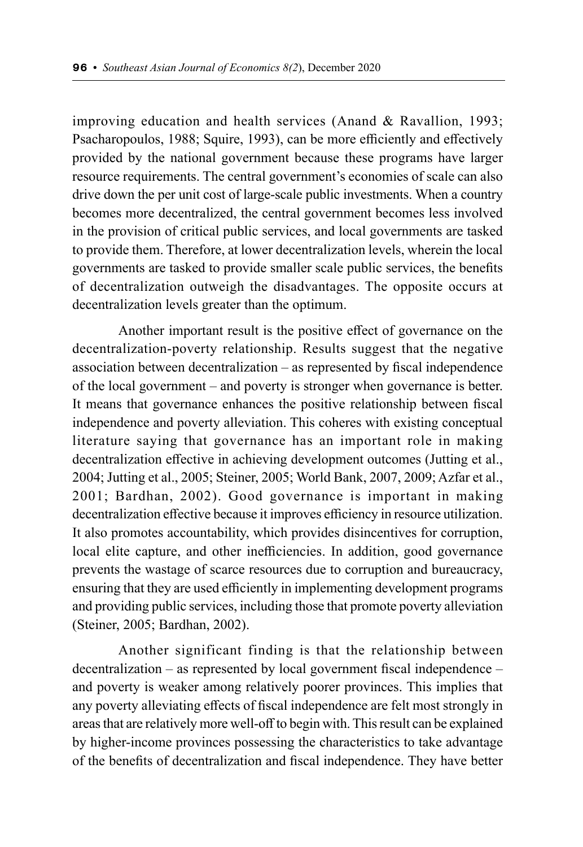improving education and health services (Anand & Ravallion, 1993; Psacharopoulos, 1988; Squire, 1993), can be more efficiently and effectively provided by the national government because these programs have larger resource requirements. The central government's economies of scale can also drive down the per unit cost of large-scale public investments. When a country becomes more decentralized, the central government becomes less involved in the provision of critical public services, and local governments are tasked to provide them. Therefore, at lower decentralization levels, wherein the local governments are tasked to provide smaller scale public services, the benefits of decentralization outweigh the disadvantages. The opposite occurs at decentralization levels greater than the optimum.

Another important result is the positive effect of governance on the decentralization-poverty relationship. Results suggest that the negative association between decentralization – as represented by fiscal independence of the local government – and poverty is stronger when governance is better. It means that governance enhances the positive relationship between fiscal independence and poverty alleviation. This coheres with existing conceptual literature saying that governance has an important role in making decentralization effective in achieving development outcomes (Jutting et al., 2004; Jutting et al., 2005; Steiner, 2005; World Bank, 2007, 2009; Azfar et al., 2001; Bardhan, 2002). Good governance is important in making decentralization effective because it improves efficiency in resource utilization. It also promotes accountability, which provides disincentives for corruption, local elite capture, and other inefficiencies. In addition, good governance prevents the wastage of scarce resources due to corruption and bureaucracy, ensuring that they are used efficiently in implementing development programs and providing public services, including those that promote poverty alleviation (Steiner, 2005; Bardhan, 2002).

Another significant finding is that the relationship between decentralization – as represented by local government fiscal independence – and poverty is weaker among relatively poorer provinces. This implies that any poverty alleviating effects of fiscal independence are felt most strongly in areas that are relatively more well-off to begin with. This result can be explained by higher-income provinces possessing the characteristics to take advantage of the benefits of decentralization and fiscal independence. They have better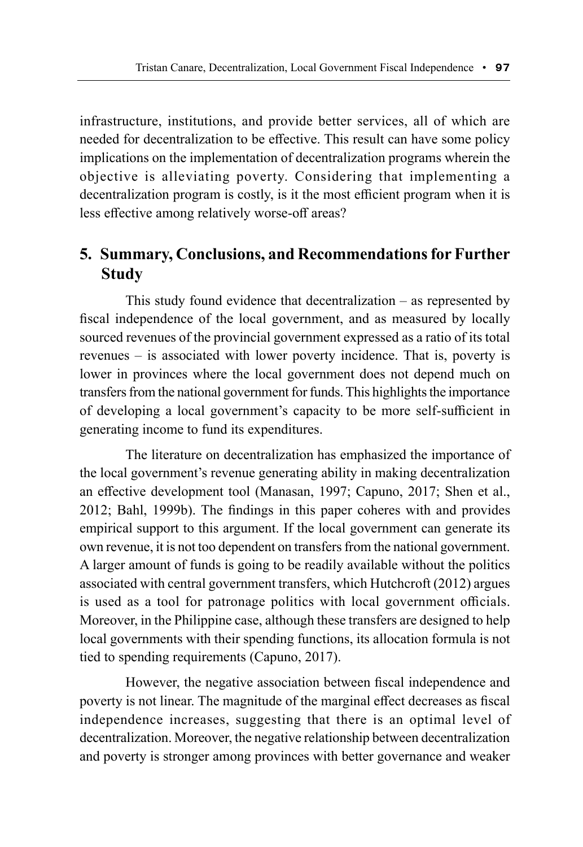infrastructure, institutions, and provide better services, all of which are needed for decentralization to be effective. This result can have some policy implications on the implementation of decentralization programs wherein the objective is alleviating poverty. Considering that implementing a decentralization program is costly, is it the most efficient program when it is less effective among relatively worse-off areas?

# **5. Summary, Conclusions, and Recommendations for Further Study**

This study found evidence that decentralization – as represented by fiscal independence of the local government, and as measured by locally sourced revenues of the provincial government expressed as a ratio of its total revenues – is associated with lower poverty incidence. That is, poverty is lower in provinces where the local government does not depend much on transfers from the national government for funds. This highlights the importance of developing a local government's capacity to be more self-sufficient in generating income to fund its expenditures.

The literature on decentralization has emphasized the importance of the local government's revenue generating ability in making decentralization an effective development tool (Manasan, 1997; Capuno, 2017; Shen et al., 2012; Bahl, 1999b). The findings in this paper coheres with and provides empirical support to this argument. If the local government can generate its own revenue, it is not too dependent on transfers from the national government. A larger amount of funds is going to be readily available without the politics associated with central government transfers, which Hutchcroft (2012) argues is used as a tool for patronage politics with local government officials. Moreover, in the Philippine case, although these transfers are designed to help local governments with their spending functions, its allocation formula is not tied to spending requirements (Capuno, 2017).

However, the negative association between fiscal independence and poverty is not linear. The magnitude of the marginal effect decreases as fiscal independence increases, suggesting that there is an optimal level of decentralization. Moreover, the negative relationship between decentralization and poverty is stronger among provinces with better governance and weaker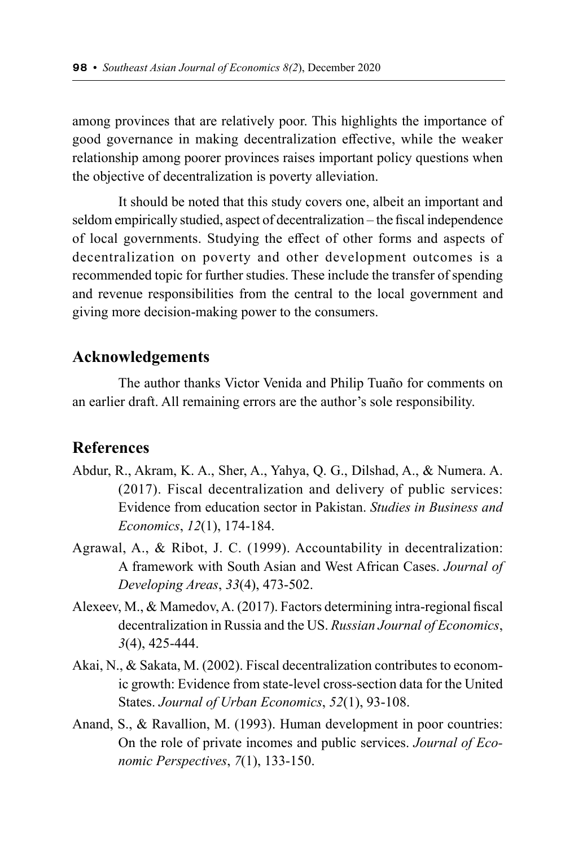among provinces that are relatively poor. This highlights the importance of good governance in making decentralization effective, while the weaker relationship among poorer provinces raises important policy questions when the objective of decentralization is poverty alleviation.

It should be noted that this study covers one, albeit an important and seldom empirically studied, aspect of decentralization – the fiscal independence of local governments. Studying the effect of other forms and aspects of decentralization on poverty and other development outcomes is a recommended topic for further studies. These include the transfer of spending and revenue responsibilities from the central to the local government and giving more decision-making power to the consumers.

# **Acknowledgements**

The author thanks Victor Venida and Philip Tuaño for comments on an earlier draft. All remaining errors are the author's sole responsibility.

### **References**

- Abdur, R., Akram, K. A., Sher, A., Yahya, Q. G., Dilshad, A., & Numera. A. (2017). Fiscal decentralization and delivery of public services: Evidence from education sector in Pakistan. *Studies in Business and Economics*, *12*(1), 174-184.
- Agrawal, A., & Ribot, J. C. (1999). Accountability in decentralization: A framework with South Asian and West African Cases. *Journal of Developing Areas*, *33*(4), 473-502.
- Alexeev, M., & Mamedov, A. (2017). Factors determining intra-regional fiscal decentralization in Russia and the US. *Russian Journal of Economics*, *3*(4), 425-444.
- Akai, N., & Sakata, M. (2002). Fiscal decentralization contributes to economic growth: Evidence from state-level cross-section data for the United States. *Journal of Urban Economics*, *52*(1), 93-108.
- Anand, S., & Ravallion, M. (1993). Human development in poor countries: On the role of private incomes and public services. *Journal of Economic Perspectives*, *7*(1), 133-150.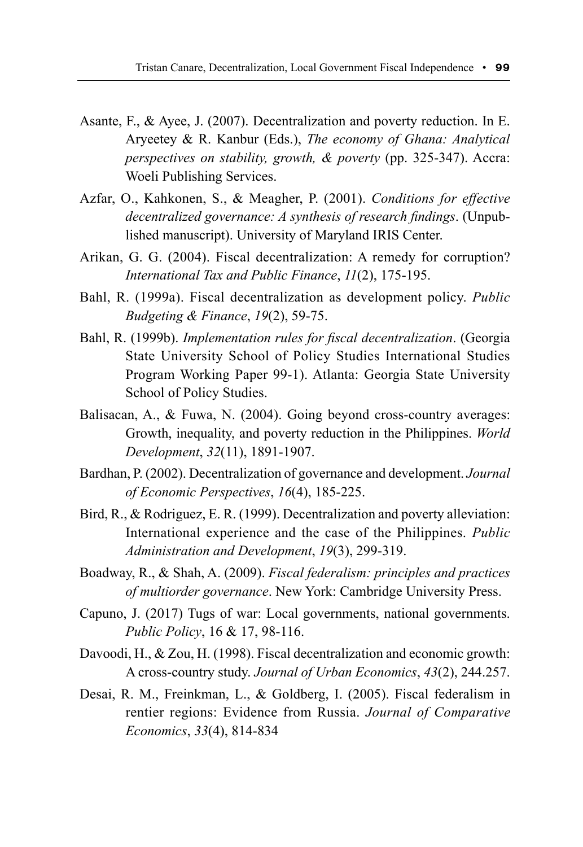- Asante, F., & Ayee, J. (2007). Decentralization and poverty reduction. In E. Aryeetey & R. Kanbur (Eds.), *The economy of Ghana: Analytical perspectives on stability, growth, & poverty* (pp. 325-347). Accra: Woeli Publishing Services.
- Azfar, O., Kahkonen, S., & Meagher, P. (2001). *Conditions for effective decentralized governance: A synthesis of research findings*. (Unpublished manuscript). University of Maryland IRIS Center.
- Arikan, G. G. (2004). Fiscal decentralization: A remedy for corruption? *International Tax and Public Finance*, *11*(2), 175-195.
- Bahl, R. (1999a). Fiscal decentralization as development policy. *Public Budgeting & Finance*, *19*(2), 59-75.
- Bahl, R. (1999b). *Implementation rules for fiscal decentralization*. (Georgia State University School of Policy Studies International Studies Program Working Paper 99-1). Atlanta: Georgia State University School of Policy Studies.
- Balisacan, A., & Fuwa, N. (2004). Going beyond cross-country averages: Growth, inequality, and poverty reduction in the Philippines. *World Development*, *32*(11), 1891-1907.
- Bardhan, P. (2002). Decentralization of governance and development. *Journal of Economic Perspectives*, *16*(4), 185-225.
- Bird, R., & Rodriguez, E. R. (1999). Decentralization and poverty alleviation: International experience and the case of the Philippines. *Public Administration and Development*, *19*(3), 299-319.
- Boadway, R., & Shah, A. (2009). *Fiscal federalism: principles and practices of multiorder governance*. New York: Cambridge University Press.
- Capuno, J. (2017) Tugs of war: Local governments, national governments. *Public Policy*, 16 & 17, 98-116.
- Davoodi, H., & Zou, H. (1998). Fiscal decentralization and economic growth: A cross-country study. *Journal of Urban Economics*, *43*(2), 244.257.
- Desai, R. M., Freinkman, L., & Goldberg, I. (2005). Fiscal federalism in rentier regions: Evidence from Russia. *Journal of Comparative Economics*, *33*(4), 814-834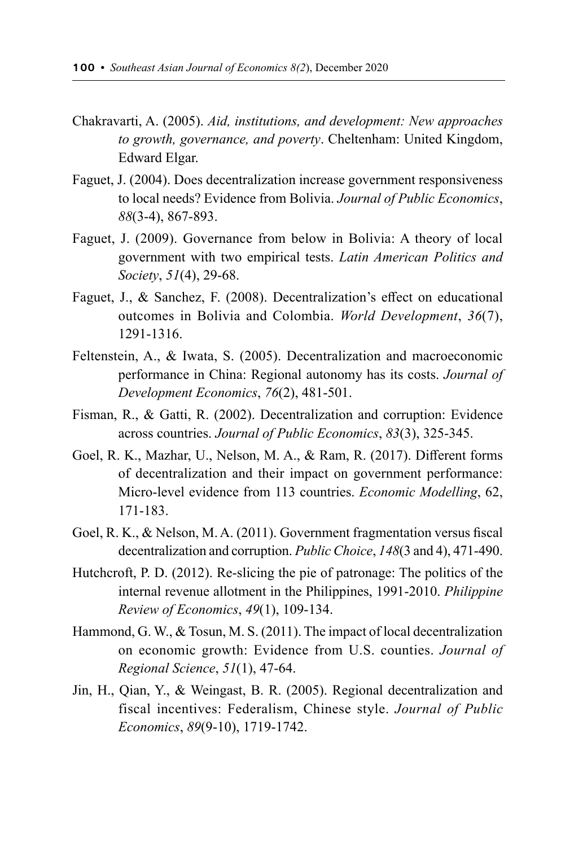- Chakravarti, A. (2005). *Aid, institutions, and development: New approaches to growth, governance, and poverty*. Cheltenham: United Kingdom, Edward Elgar.
- Faguet, J. (2004). Does decentralization increase government responsiveness to local needs? Evidence from Bolivia. *Journal of Public Economics*, *88*(3-4), 867-893.
- Faguet, J. (2009). Governance from below in Bolivia: A theory of local government with two empirical tests. *Latin American Politics and Society*, *51*(4), 29-68.
- Faguet, J., & Sanchez, F. (2008). Decentralization's effect on educational outcomes in Bolivia and Colombia. *World Development*, *36*(7), 1291-1316.
- Feltenstein, A., & Iwata, S. (2005). Decentralization and macroeconomic performance in China: Regional autonomy has its costs. *Journal of Development Economics*, *76*(2), 481-501.
- Fisman, R., & Gatti, R. (2002). Decentralization and corruption: Evidence across countries. *Journal of Public Economics*, *83*(3), 325-345.
- Goel, R. K., Mazhar, U., Nelson, M. A., & Ram, R. (2017). Different forms of decentralization and their impact on government performance: Micro-level evidence from 113 countries. *Economic Modelling*, 62, 171-183.
- Goel, R. K., & Nelson, M. A. (2011). Government fragmentation versus fiscal decentralization and corruption. *Public Choice*, *148*(3 and 4), 471-490.
- Hutchcroft, P. D. (2012). Re-slicing the pie of patronage: The politics of the internal revenue allotment in the Philippines, 1991-2010. *Philippine Review of Economics*, *49*(1), 109-134.
- Hammond, G. W., & Tosun, M. S. (2011). The impact of local decentralization on economic growth: Evidence from U.S. counties. *Journal of Regional Science*, *51*(1), 47-64.
- Jin, H., Qian, Y., & Weingast, B. R. (2005). Regional decentralization and fiscal incentives: Federalism, Chinese style. *Journal of Public Economics*, *89*(9-10), 1719-1742.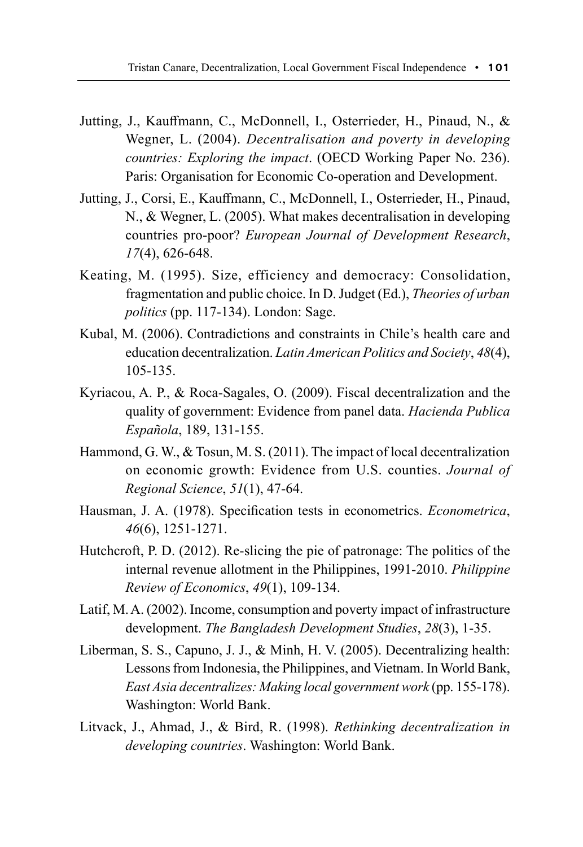- Jutting, J., Kauffmann, C., McDonnell, I., Osterrieder, H., Pinaud, N., & Wegner, L. (2004). *Decentralisation and poverty in developing countries: Exploring the impact*. (OECD Working Paper No. 236). Paris: Organisation for Economic Co-operation and Development.
- Jutting, J., Corsi, E., Kauffmann, C., McDonnell, I., Osterrieder, H., Pinaud, N., & Wegner, L. (2005). What makes decentralisation in developing countries pro-poor? *European Journal of Development Research*, *17*(4), 626-648.
- Keating, M. (1995). Size, efficiency and democracy: Consolidation, fragmentation and public choice. In D. Judget (Ed.), *Theories of urban politics* (pp. 117-134). London: Sage.
- Kubal, M. (2006). Contradictions and constraints in Chile's health care and education decentralization. *Latin American Politics and Society*, *48*(4), 105-135.
- Kyriacou, A. P., & Roca-Sagales, O. (2009). Fiscal decentralization and the quality of government: Evidence from panel data. *Hacienda Publica Española*, 189, 131-155.
- Hammond, G. W., & Tosun, M. S. (2011). The impact of local decentralization on economic growth: Evidence from U.S. counties. *Journal of Regional Science*, *51*(1), 47-64.
- Hausman, J. A. (1978). Specification tests in econometrics. *Econometrica*, *46*(6), 1251-1271.
- Hutchcroft, P. D. (2012). Re-slicing the pie of patronage: The politics of the internal revenue allotment in the Philippines, 1991-2010. *Philippine Review of Economics*, *49*(1), 109-134.
- Latif, M. A. (2002). Income, consumption and poverty impact of infrastructure development. *The Bangladesh Development Studies*, *28*(3), 1-35.
- Liberman, S. S., Capuno, J. J., & Minh, H. V. (2005). Decentralizing health: Lessons from Indonesia, the Philippines, and Vietnam. In World Bank, *East Asia decentralizes: Making local government work* (pp. 155-178). Washington: World Bank.
- Litvack, J., Ahmad, J., & Bird, R. (1998). *Rethinking decentralization in developing countries*. Washington: World Bank.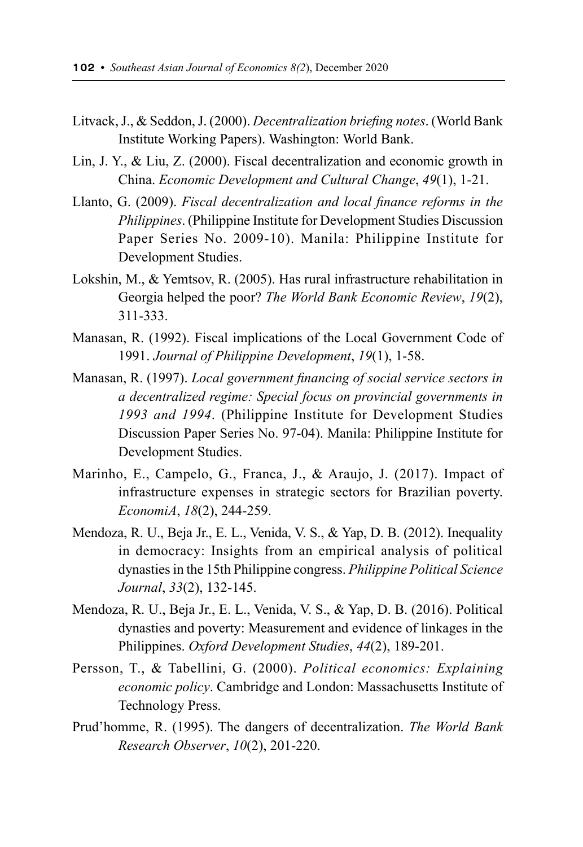- Litvack, J., & Seddon, J. (2000). *Decentralization briefing notes*. (World Bank Institute Working Papers). Washington: World Bank.
- Lin, J. Y., & Liu, Z. (2000). Fiscal decentralization and economic growth in China. *Economic Development and Cultural Change*, *49*(1), 1-21.
- Llanto, G. (2009). *Fiscal decentralization and local finance reforms in the Philippines*. (Philippine Institute for Development Studies Discussion Paper Series No. 2009-10). Manila: Philippine Institute for Development Studies.
- Lokshin, M., & Yemtsov, R. (2005). Has rural infrastructure rehabilitation in Georgia helped the poor? *The World Bank Economic Review*, *19*(2), 311-333.
- Manasan, R. (1992). Fiscal implications of the Local Government Code of 1991. *Journal of Philippine Development*, *19*(1), 1-58.
- Manasan, R. (1997). *Local government financing of social service sectors in a decentralized regime: Special focus on provincial governments in 1993 and 1994*. (Philippine Institute for Development Studies Discussion Paper Series No. 97-04). Manila: Philippine Institute for Development Studies.
- Marinho, E., Campelo, G., Franca, J., & Araujo, J. (2017). Impact of infrastructure expenses in strategic sectors for Brazilian poverty. *EconomiA*, *18*(2), 244-259.
- Mendoza, R. U., Beja Jr., E. L., Venida, V. S., & Yap, D. B. (2012). Inequality in democracy: Insights from an empirical analysis of political dynasties in the 15th Philippine congress. *Philippine Political Science Journal*, *33*(2), 132-145.
- Mendoza, R. U., Beja Jr., E. L., Venida, V. S., & Yap, D. B. (2016). Political dynasties and poverty: Measurement and evidence of linkages in the Philippines. *Oxford Development Studies*, *44*(2), 189-201.
- Persson, T., & Tabellini, G. (2000). *Political economics: Explaining economic policy*. Cambridge and London: Massachusetts Institute of Technology Press.
- Prud'homme, R. (1995). The dangers of decentralization. *The World Bank Research Observer*, *10*(2), 201-220.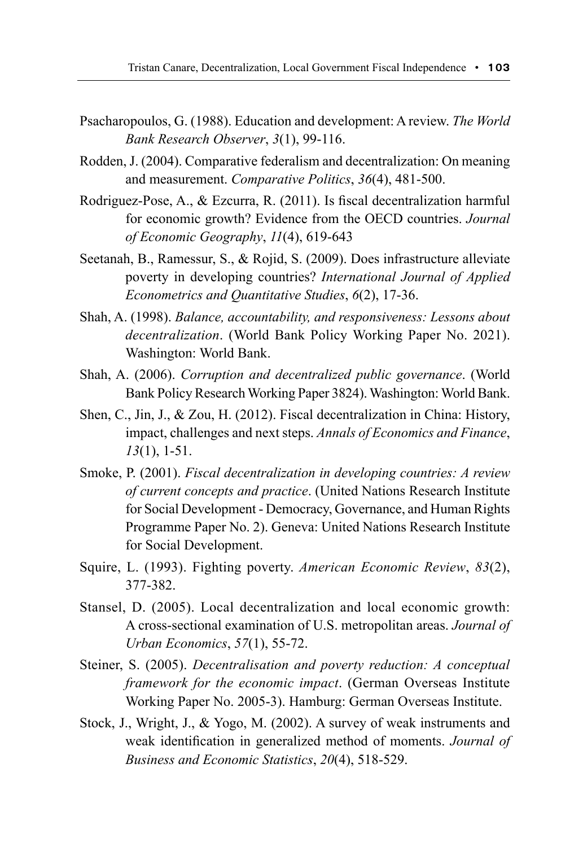- Psacharopoulos, G. (1988). Education and development: A review. *The World Bank Research Observer*, *3*(1), 99-116.
- Rodden, J. (2004). Comparative federalism and decentralization: On meaning and measurement. *Comparative Politics*, *36*(4), 481-500.
- Rodriguez-Pose, A., & Ezcurra, R. (2011). Is fiscal decentralization harmful for economic growth? Evidence from the OECD countries. *Journal of Economic Geography*, *11*(4), 619-643
- Seetanah, B., Ramessur, S., & Rojid, S. (2009). Does infrastructure alleviate poverty in developing countries? *International Journal of Applied Econometrics and Quantitative Studies*, *6*(2), 17-36.
- Shah, A. (1998). *Balance, accountability, and responsiveness: Lessons about decentralization*. (World Bank Policy Working Paper No. 2021). Washington: World Bank.
- Shah, A. (2006). *Corruption and decentralized public governance*. (World Bank Policy Research Working Paper 3824). Washington: World Bank.
- Shen, C., Jin, J., & Zou, H. (2012). Fiscal decentralization in China: History, impact, challenges and next steps. *Annals of Economics and Finance*, *13*(1), 1-51.
- Smoke, P. (2001). *Fiscal decentralization in developing countries: A review of current concepts and practice*. (United Nations Research Institute for Social Development - Democracy, Governance, and Human Rights Programme Paper No. 2). Geneva: United Nations Research Institute for Social Development.
- Squire, L. (1993). Fighting poverty. *American Economic Review*, *83*(2), 377-382.
- Stansel, D. (2005). Local decentralization and local economic growth: A cross-sectional examination of U.S. metropolitan areas. *Journal of Urban Economics*, *57*(1), 55-72.
- Steiner, S. (2005). *Decentralisation and poverty reduction: A conceptual framework for the economic impact*. (German Overseas Institute Working Paper No. 2005-3). Hamburg: German Overseas Institute.
- Stock, J., Wright, J., & Yogo, M. (2002). A survey of weak instruments and weak identification in generalized method of moments. *Journal of Business and Economic Statistics*, *20*(4), 518-529.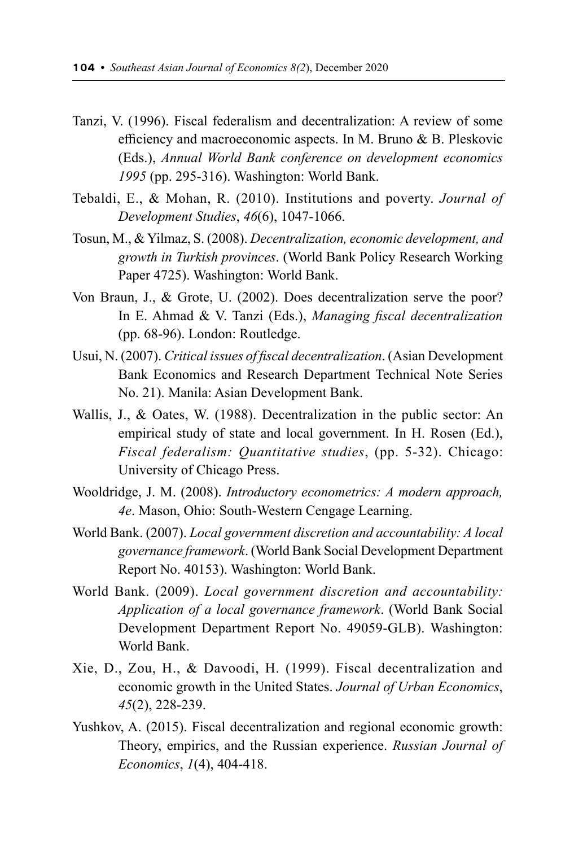- Tanzi, V. (1996). Fiscal federalism and decentralization: A review of some efficiency and macroeconomic aspects. In M. Bruno & B. Pleskovic (Eds.), *Annual World Bank conference on development economics 1995* (pp. 295-316). Washington: World Bank.
- Tebaldi, E., & Mohan, R. (2010). Institutions and poverty. *Journal of Development Studies*, *46*(6), 1047-1066.
- Tosun, M., & Yilmaz, S. (2008). *Decentralization, economic development, and growth in Turkish provinces*. (World Bank Policy Research Working Paper 4725). Washington: World Bank.
- Von Braun, J., & Grote, U. (2002). Does decentralization serve the poor? In E. Ahmad & V. Tanzi (Eds.), *Managing fiscal decentralization* (pp. 68-96). London: Routledge.
- Usui, N. (2007). *Critical issues of fiscal decentralization*. (Asian Development Bank Economics and Research Department Technical Note Series No. 21). Manila: Asian Development Bank.
- Wallis, J., & Oates, W. (1988). Decentralization in the public sector: An empirical study of state and local government. In H. Rosen (Ed.), *Fiscal federalism: Quantitative studies*, (pp. 5-32). Chicago: University of Chicago Press.
- Wooldridge, J. M. (2008). *Introductory econometrics: A modern approach, 4e*. Mason, Ohio: South-Western Cengage Learning.
- World Bank. (2007). *Local government discretion and accountability: A local governance framework*. (World Bank Social Development Department Report No. 40153). Washington: World Bank.
- World Bank. (2009). *Local government discretion and accountability: Application of a local governance framework*. (World Bank Social Development Department Report No. 49059-GLB). Washington: World Bank.
- Xie, D., Zou, H., & Davoodi, H. (1999). Fiscal decentralization and economic growth in the United States. *Journal of Urban Economics*, *45*(2), 228-239.
- Yushkov, A. (2015). Fiscal decentralization and regional economic growth: Theory, empirics, and the Russian experience. *Russian Journal of Economics*, *1*(4), 404-418.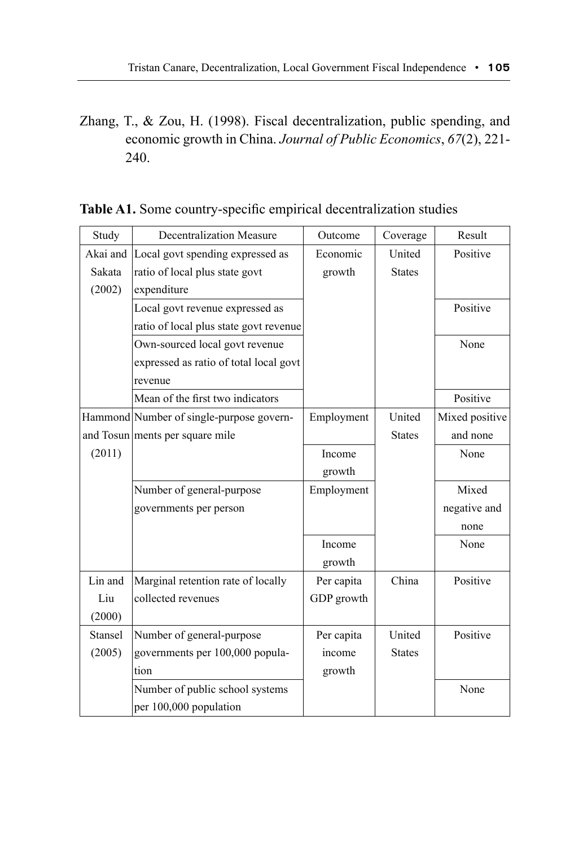Zhang, T., & Zou, H. (1998). Fiscal decentralization, public spending, and economic growth in China. *Journal of Public Economics*, *67*(2), 221- 240.

| Study    | Decentralization Measure                 | Outcome    | Coverage      | Result         |
|----------|------------------------------------------|------------|---------------|----------------|
| Akai and | Local govt spending expressed as         | Economic   | United        | Positive       |
| Sakata   | ratio of local plus state govt           | growth     | <b>States</b> |                |
| (2002)   | expenditure                              |            |               |                |
|          | Local govt revenue expressed as          |            |               | Positive       |
|          | ratio of local plus state govt revenue   |            |               |                |
|          | Own-sourced local govt revenue           |            |               | None           |
|          | expressed as ratio of total local govt   |            |               |                |
|          | revenue                                  |            |               |                |
|          | Mean of the first two indicators         |            |               | Positive       |
|          | Hammond Number of single-purpose govern- | Employment | United        | Mixed positive |
|          | and Tosun ments per square mile          |            | <b>States</b> | and none       |
| (2011)   |                                          | Income     |               | None           |
|          |                                          | growth     |               |                |
|          | Number of general-purpose                | Employment |               | Mixed          |
|          | governments per person                   |            |               | negative and   |
|          |                                          |            |               | none           |
|          |                                          | Income     |               | None           |
|          |                                          | growth     |               |                |
| Lin and  | Marginal retention rate of locally       | Per capita | China         | Positive       |
| Liu      | collected revenues                       | GDP growth |               |                |
| (2000)   |                                          |            |               |                |
| Stansel  | Number of general-purpose                | Per capita | United        | Positive       |
| (2005)   | governments per 100,000 popula-          | income     | <b>States</b> |                |
|          | tion                                     | growth     |               |                |
|          | Number of public school systems          |            |               | None           |
|          | per 100,000 population                   |            |               |                |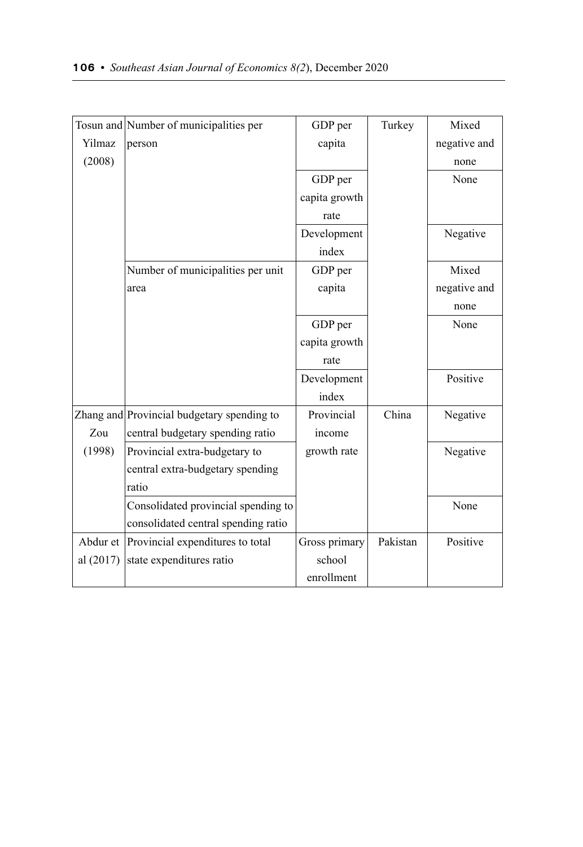|             | Tosun and Number of municipalities per     | GDP per       | Turkey   | Mixed        |
|-------------|--------------------------------------------|---------------|----------|--------------|
| Yilmaz      | person                                     | capita        |          | negative and |
| (2008)      |                                            |               |          | none         |
|             |                                            | GDP per       |          | None         |
|             |                                            | capita growth |          |              |
|             |                                            | rate          |          |              |
|             |                                            | Development   |          | Negative     |
|             |                                            | index         |          |              |
|             | Number of municipalities per unit          | GDP per       |          | Mixed        |
|             | area                                       | capita        |          | negative and |
|             |                                            |               |          | none         |
|             |                                            | GDP per       |          | None         |
|             |                                            | capita growth |          |              |
|             |                                            | rate          |          |              |
|             |                                            | Development   |          | Positive     |
|             |                                            | index         |          |              |
|             | Zhang and Provincial budgetary spending to | Provincial    | China    | Negative     |
| Zou         | central budgetary spending ratio           | income        |          |              |
| (1998)      | Provincial extra-budgetary to              | growth rate   |          | Negative     |
|             | central extra-budgetary spending           |               |          |              |
|             | ratio                                      |               |          |              |
|             | Consolidated provincial spending to        |               |          | None         |
|             | consolidated central spending ratio        |               |          |              |
|             | Abdur et Provincial expenditures to total  | Gross primary | Pakistan | Positive     |
| al $(2017)$ | state expenditures ratio                   | school        |          |              |
|             |                                            | enrollment    |          |              |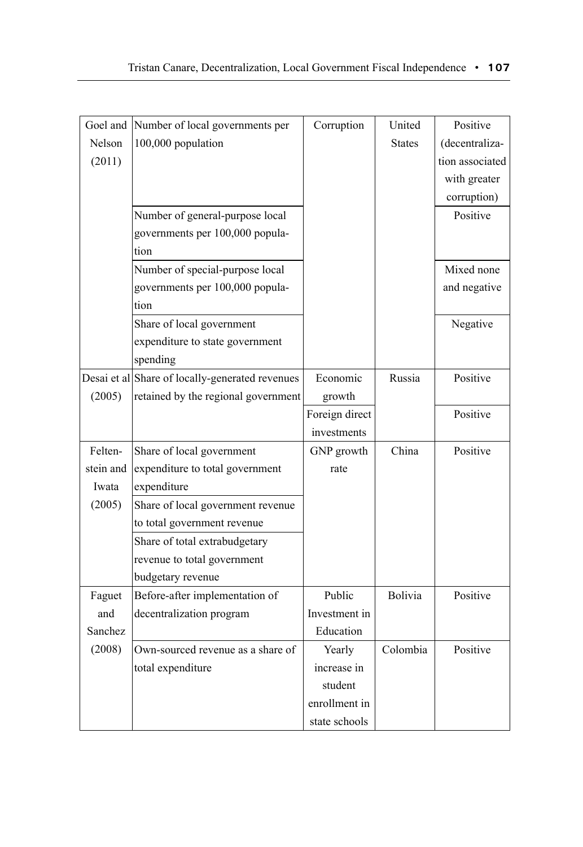| Goel and  | Number of local governments per                 | Corruption     | United        | Positive        |
|-----------|-------------------------------------------------|----------------|---------------|-----------------|
| Nelson    | 100,000 population                              |                | <b>States</b> | (decentraliza-  |
| (2011)    |                                                 |                |               | tion associated |
|           |                                                 |                |               | with greater    |
|           |                                                 |                |               | corruption)     |
|           | Number of general-purpose local                 |                |               | Positive        |
|           | governments per 100,000 popula-                 |                |               |                 |
|           | tion                                            |                |               |                 |
|           | Number of special-purpose local                 |                |               | Mixed none      |
|           | governments per 100,000 popula-                 |                |               | and negative    |
|           | tion                                            |                |               |                 |
|           | Share of local government                       |                |               | Negative        |
|           | expenditure to state government                 |                |               |                 |
|           | spending                                        |                |               |                 |
|           | Desai et al Share of locally-generated revenues | Economic       | Russia        | Positive        |
| (2005)    | retained by the regional government             | growth         |               |                 |
|           |                                                 | Foreign direct |               | Positive        |
|           |                                                 | investments    |               |                 |
| Felten-   | Share of local government                       | GNP growth     | China         | Positive        |
| stein and | expenditure to total government                 | rate           |               |                 |
| Iwata     | expenditure                                     |                |               |                 |
| (2005)    | Share of local government revenue               |                |               |                 |
|           | to total government revenue                     |                |               |                 |
|           | Share of total extrabudgetary                   |                |               |                 |
|           | revenue to total government                     |                |               |                 |
|           | budgetary revenue                               |                |               |                 |
| Faguet    | Before-after implementation of                  | Public         | Bolivia       | Positive        |
| and       | decentralization program                        | Investment in  |               |                 |
| Sanchez   |                                                 | Education      |               |                 |
| (2008)    | Own-sourced revenue as a share of               | Yearly         | Colombia      | Positive        |
|           | total expenditure                               | increase in    |               |                 |
|           |                                                 | student        |               |                 |
|           |                                                 | enrollment in  |               |                 |
|           |                                                 | state schools  |               |                 |